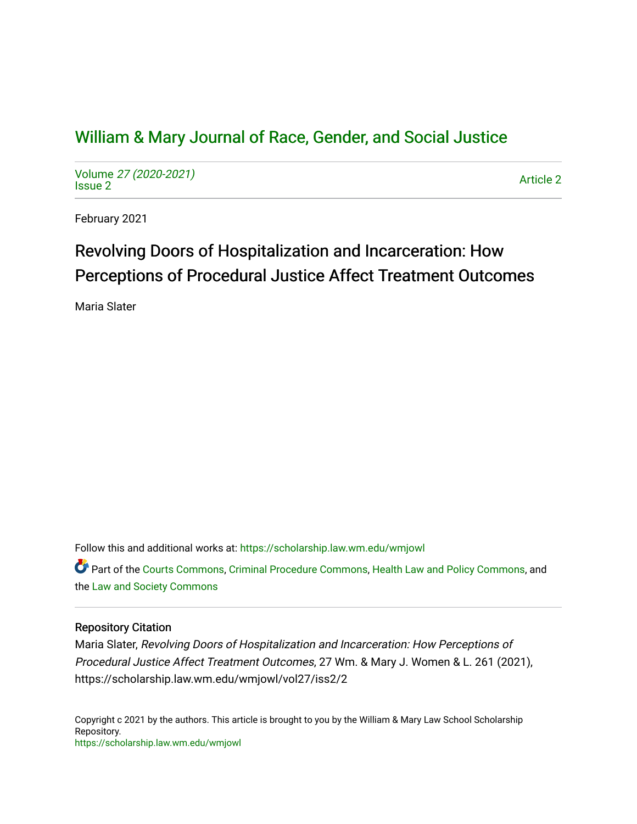## [William & Mary Journal of Race, Gender, and Social Justice](https://scholarship.law.wm.edu/wmjowl)

Volume [27 \(2020-2021\)](https://scholarship.law.wm.edu/wmjowl/vol27)  volume 27 (2020-2021)<br>[Issue 2](https://scholarship.law.wm.edu/wmjowl/vol27/iss2) Article 2

February 2021

# Revolving Doors of Hospitalization and Incarceration: How Perceptions of Procedural Justice Affect Treatment Outcomes

Maria Slater

Follow this and additional works at: [https://scholarship.law.wm.edu/wmjowl](https://scholarship.law.wm.edu/wmjowl?utm_source=scholarship.law.wm.edu%2Fwmjowl%2Fvol27%2Fiss2%2F2&utm_medium=PDF&utm_campaign=PDFCoverPages) 

Part of the [Courts Commons,](http://network.bepress.com/hgg/discipline/839?utm_source=scholarship.law.wm.edu%2Fwmjowl%2Fvol27%2Fiss2%2F2&utm_medium=PDF&utm_campaign=PDFCoverPages) [Criminal Procedure Commons,](http://network.bepress.com/hgg/discipline/1073?utm_source=scholarship.law.wm.edu%2Fwmjowl%2Fvol27%2Fiss2%2F2&utm_medium=PDF&utm_campaign=PDFCoverPages) [Health Law and Policy Commons,](http://network.bepress.com/hgg/discipline/901?utm_source=scholarship.law.wm.edu%2Fwmjowl%2Fvol27%2Fiss2%2F2&utm_medium=PDF&utm_campaign=PDFCoverPages) and the [Law and Society Commons](http://network.bepress.com/hgg/discipline/853?utm_source=scholarship.law.wm.edu%2Fwmjowl%2Fvol27%2Fiss2%2F2&utm_medium=PDF&utm_campaign=PDFCoverPages) 

## Repository Citation

Maria Slater, Revolving Doors of Hospitalization and Incarceration: How Perceptions of Procedural Justice Affect Treatment Outcomes, 27 Wm. & Mary J. Women & L. 261 (2021), https://scholarship.law.wm.edu/wmjowl/vol27/iss2/2

Copyright c 2021 by the authors. This article is brought to you by the William & Mary Law School Scholarship Repository. <https://scholarship.law.wm.edu/wmjowl>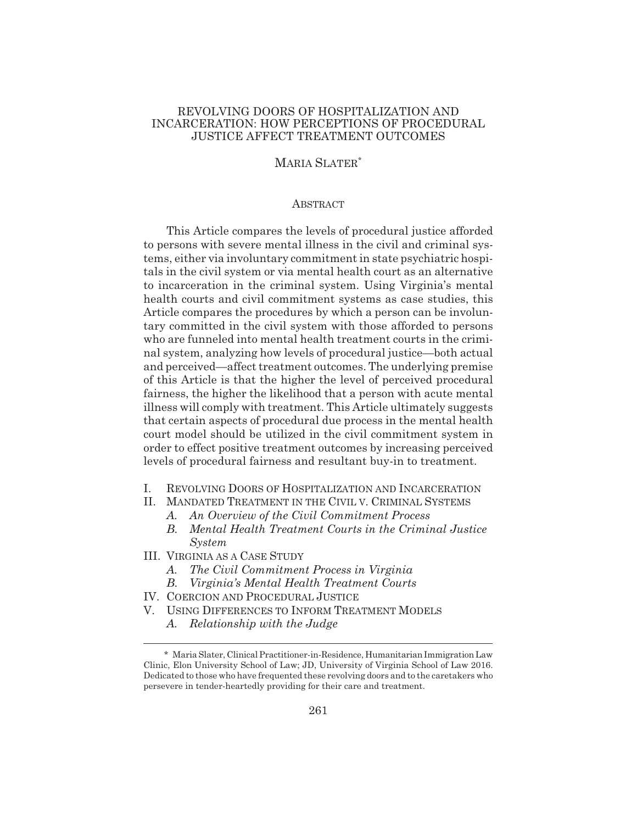## REVOLVING DOORS OF HOSPITALIZATION AND INCARCERATION: HOW PERCEPTIONS OF PROCEDURAL JUSTICE AFFECT TREATMENT OUTCOMES

## MARIA SLATER\*

#### **ABSTRACT**

This Article compares the levels of procedural justice afforded to persons with severe mental illness in the civil and criminal systems, either via involuntary commitment in state psychiatric hospitals in the civil system or via mental health court as an alternative to incarceration in the criminal system. Using Virginia's mental health courts and civil commitment systems as case studies, this Article compares the procedures by which a person can be involuntary committed in the civil system with those afforded to persons who are funneled into mental health treatment courts in the criminal system, analyzing how levels of procedural justice—both actual and perceived—affect treatment outcomes. The underlying premise of this Article is that the higher the level of perceived procedural fairness, the higher the likelihood that a person with acute mental illness will comply with treatment. This Article ultimately suggests that certain aspects of procedural due process in the mental health court model should be utilized in the civil commitment system in order to effect positive treatment outcomes by increasing perceived levels of procedural fairness and resultant buy-in to treatment.

- I. REVOLVING DOORS OF HOSPITALIZATION AND INCARCERATION
- II. MANDATED TREATMENT IN THE CIVIL V. CRIMINAL SYSTEMS
	- *A. An Overview of the Civil Commitment Process*
	- *B. Mental Health Treatment Courts in the Criminal Justice System*
- III. VIRGINIA AS A CASE STUDY
	- *A. The Civil Commitment Process in Virginia*
	- *B. Virginia's Mental Health Treatment Courts*
- IV. COERCION AND PROCEDURAL JUSTICE
- V. USING DIFFERENCES TO INFORM TREATMENT MODELS
	- *A. Relationship with the Judge*

<sup>\*</sup> Maria Slater, Clinical Practitioner-in-Residence, Humanitarian Immigration Law Clinic, Elon University School of Law; JD, University of Virginia School of Law 2016. Dedicated to those who have frequented these revolving doors and to the caretakers who persevere in tender-heartedly providing for their care and treatment.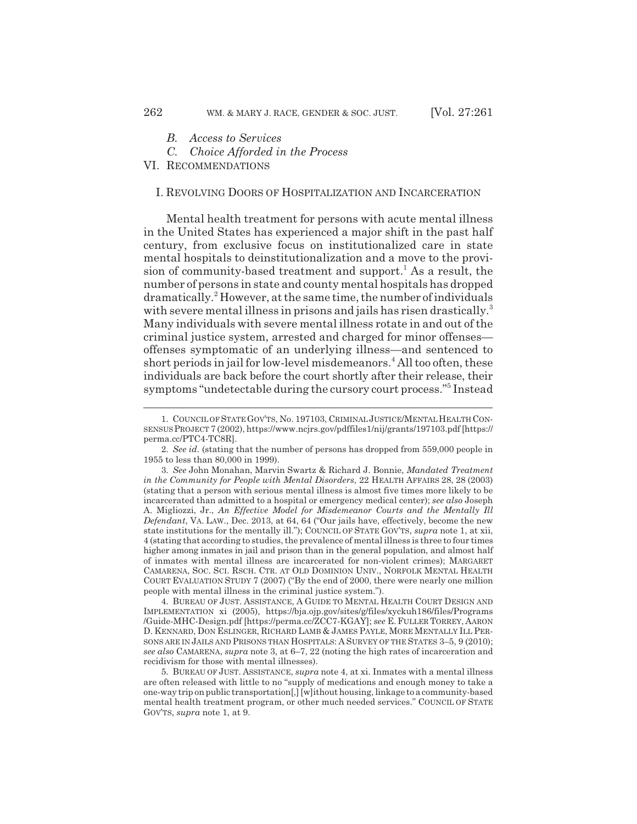*B. Access to Services*

*C. Choice Afforded in the Process*

VI. RECOMMENDATIONS

#### I. REVOLVING DOORS OF HOSPITALIZATION AND INCARCERATION

Mental health treatment for persons with acute mental illness in the United States has experienced a major shift in the past half century, from exclusive focus on institutionalized care in state mental hospitals to deinstitutionalization and a move to the provision of community-based treatment and support.<sup>1</sup> As a result, the number of persons in state and county mental hospitals has dropped dramatically.<sup>2</sup> However, at the same time, the number of individuals with severe mental illness in prisons and jails has risen drastically.<sup>3</sup> Many individuals with severe mental illness rotate in and out of the criminal justice system, arrested and charged for minor offenses offenses symptomatic of an underlying illness—and sentenced to short periods in jail for low-level misdemeanors.<sup>4</sup> All too often, these individuals are back before the court shortly after their release, their symptoms "undetectable during the cursory court process."<sup>5</sup> Instead

4. BUREAU OF JUST. ASSISTANCE,AGUIDE TO MENTAL HEALTH COURT DESIGN AND IMPLEMENTATION xi (2005), https://bja.ojp.gov/sites/g/files/xyckuh186/files/Programs /Guide-MHC-Design.pdf [https://perma.cc/ZCC7-KGAY]; *see* E.FULLER TORREY, AARON D. KENNARD, DON ESLINGER, RICHARD LAMB & JAMES PAYLE, MORE MENTALLY ILL PER-SONS ARE IN JAILS AND PRISONS THAN HOSPITALS: A SURVEY OF THE STATES 3-5, 9 (2010); *see also* CAMARENA, *supra* note 3, at 6–7, 22 (noting the high rates of incarceration and recidivism for those with mental illnesses).

5. BUREAU OF JUST. ASSISTANCE, *supra* note 4, at xi. Inmates with a mental illness are often released with little to no "supply of medications and enough money to take a one-way trip on public transportation[,] [w]ithout housing, linkage to a community-based mental health treatment program, or other much needed services." COUNCIL OF STATE GOV'TS, *supra* note 1, at 9.

<sup>1.</sup> COUNCIL OF STATE GOV'TS, No. 197103, CRIMINAL JUSTICE/MENTAL HEALTH CON-SENSUS PROJECT 7 (2002), https://www.ncjrs.gov/pdffiles1/nij/grants/197103.pdf [https:// perma.cc/PTC4-TC8R].

<sup>2.</sup> *See id.* (stating that the number of persons has dropped from 559,000 people in 1955 to less than 80,000 in 1999).

<sup>3.</sup> *See* John Monahan, Marvin Swartz & Richard J. Bonnie, *Mandated Treatment in the Community for People with Mental Disorders*, 22 HEALTH AFFAIRS 28, 28 (2003) (stating that a person with serious mental illness is almost five times more likely to be incarcerated than admitted to a hospital or emergency medical center); *see also* Joseph A. Migliozzi, Jr., *An Effective Model for Misdemeanor Courts and the Mentally Ill Defendant*, VA. LAW., Dec. 2013, at 64, 64 ("Our jails have, effectively, become the new state institutions for the mentally ill."); COUNCIL OF STATE GOV'TS, *supra* note 1, at xii, 4 (stating that according to studies, the prevalence of mental illness is three to four times higher among inmates in jail and prison than in the general population, and almost half of inmates with mental illness are incarcerated for non-violent crimes); MARGARET CAMARENA, SOC. SCI. RSCH. CTR. AT OLD DOMINION UNIV., NORFOLK MENTAL HEALTH COURT EVALUATION STUDY 7 (2007) ("By the end of 2000, there were nearly one million people with mental illness in the criminal justice system.").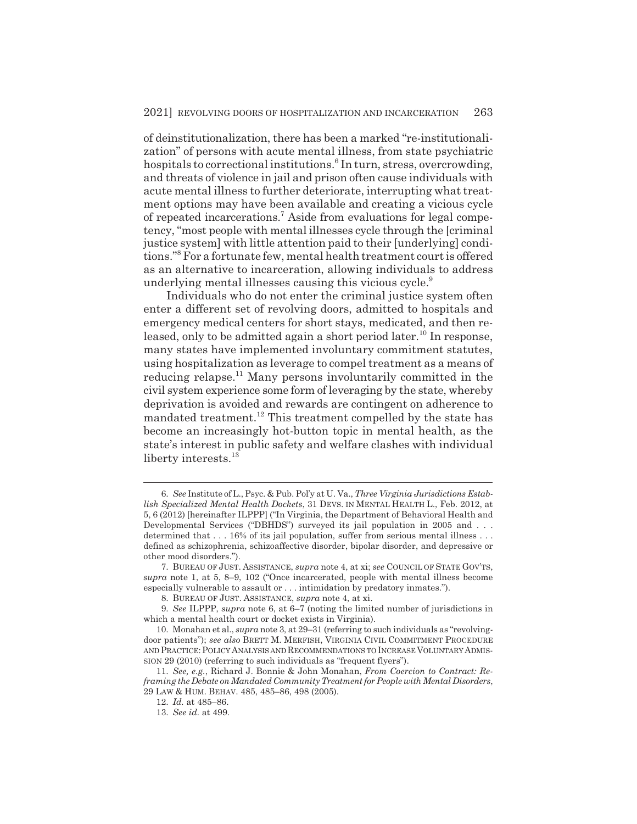of deinstitutionalization, there has been a marked "re-institutionalization" of persons with acute mental illness, from state psychiatric hospitals to correctional institutions.<sup>6</sup> In turn, stress, overcrowding, and threats of violence in jail and prison often cause individuals with acute mental illness to further deteriorate, interrupting what treatment options may have been available and creating a vicious cycle of repeated incarcerations.<sup>7</sup> Aside from evaluations for legal competency, "most people with mental illnesses cycle through the [criminal justice system] with little attention paid to their [underlying] conditions."8 For a fortunate few, mental health treatment court is offered as an alternative to incarceration, allowing individuals to address underlying mental illnesses causing this vicious cycle.<sup>9</sup>

Individuals who do not enter the criminal justice system often enter a different set of revolving doors, admitted to hospitals and emergency medical centers for short stays, medicated, and then released, only to be admitted again a short period later.<sup>10</sup> In response, many states have implemented involuntary commitment statutes, using hospitalization as leverage to compel treatment as a means of reducing relapse.<sup>11</sup> Many persons involuntarily committed in the civil system experience some form of leveraging by the state, whereby deprivation is avoided and rewards are contingent on adherence to mandated treatment.12 This treatment compelled by the state has become an increasingly hot-button topic in mental health, as the state's interest in public safety and welfare clashes with individual liberty interests.<sup>13</sup>

<sup>6.</sup> *See* Institute of L., Psyc. & Pub. Pol'y at U. Va., *Three Virginia Jurisdictions Establish Specialized Mental Health Dockets*, 31 DEVS. IN MENTAL HEALTH L., Feb. 2012, at 5, 6 (2012) [hereinafter ILPPP] ("In Virginia, the Department of Behavioral Health and Developmental Services ("DBHDS") surveyed its jail population in 2005 and . . . determined that  $\dots$  16% of its jail population, suffer from serious mental illness  $\dots$ defined as schizophrenia, schizoaffective disorder, bipolar disorder, and depressive or other mood disorders.").

<sup>7.</sup> BUREAU OF JUST. ASSISTANCE, *supra* note 4, at xi; *see* COUNCIL OF STATE GOV'TS, *supra* note 1, at 5, 8–9, 102 ("Once incarcerated, people with mental illness become especially vulnerable to assault or . . . intimidation by predatory inmates.").

<sup>8.</sup> BUREAU OF JUST. ASSISTANCE, *supra* note 4, at xi.

<sup>9.</sup> *See* ILPPP, *supra* note 6, at 6–7 (noting the limited number of jurisdictions in which a mental health court or docket exists in Virginia).

<sup>10.</sup> Monahan et al., *supra* note 3, at 29–31 (referring to such individuals as "revolvingdoor patients"); *see also* BRETT M. MERFISH, VIRGINIA CIVIL COMMITMENT PROCEDURE AND PRACTICE: POLICY ANALYSIS AND RECOMMENDATIONS TO INCREASE VOLUNTARY ADMIS-SION 29 (2010) (referring to such individuals as "frequent flyers").

<sup>11.</sup> *See, e.g.*, Richard J. Bonnie & John Monahan, *From Coercion to Contract: Reframing the Debate on Mandated Community Treatment for People with Mental Disorders*, 29 LAW & HUM. BEHAV. 485, 485–86, 498 (2005).

<sup>12.</sup> *Id.* at 485–86.

<sup>13.</sup> *See id.* at 499.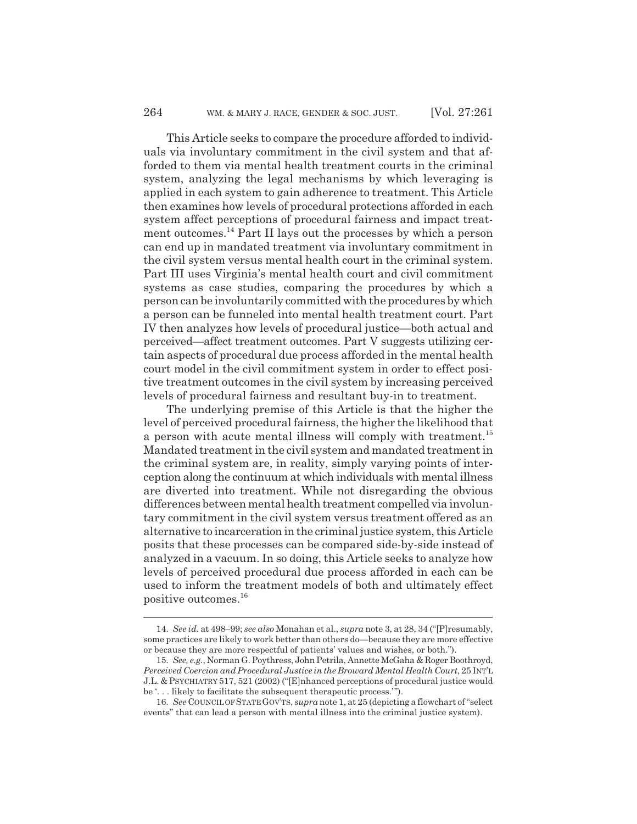This Article seeks to compare the procedure afforded to individuals via involuntary commitment in the civil system and that afforded to them via mental health treatment courts in the criminal system, analyzing the legal mechanisms by which leveraging is applied in each system to gain adherence to treatment. This Article then examines how levels of procedural protections afforded in each system affect perceptions of procedural fairness and impact treatment outcomes.<sup>14</sup> Part II lays out the processes by which a person can end up in mandated treatment via involuntary commitment in the civil system versus mental health court in the criminal system. Part III uses Virginia's mental health court and civil commitment systems as case studies, comparing the procedures by which a person can be involuntarily committed with the procedures by which a person can be funneled into mental health treatment court. Part IV then analyzes how levels of procedural justice—both actual and perceived—affect treatment outcomes. Part V suggests utilizing certain aspects of procedural due process afforded in the mental health court model in the civil commitment system in order to effect positive treatment outcomes in the civil system by increasing perceived levels of procedural fairness and resultant buy-in to treatment.

The underlying premise of this Article is that the higher the level of perceived procedural fairness, the higher the likelihood that a person with acute mental illness will comply with treatment.<sup>15</sup> Mandated treatment in the civil system and mandated treatment in the criminal system are, in reality, simply varying points of interception along the continuum at which individuals with mental illness are diverted into treatment. While not disregarding the obvious differences between mental health treatment compelled via involuntary commitment in the civil system versus treatment offered as an alternative to incarceration in the criminal justice system, this Article posits that these processes can be compared side-by-side instead of analyzed in a vacuum. In so doing, this Article seeks to analyze how levels of perceived procedural due process afforded in each can be used to inform the treatment models of both and ultimately effect positive outcomes.<sup>16</sup>

<sup>14.</sup> *See id.* at 498–99; *see also* Monahan et al., *supra* note 3, at 28, 34 ("[P]resumably, some practices are likely to work better than others do—because they are more effective or because they are more respectful of patients' values and wishes, or both.").

<sup>15.</sup> *See, e.g.*, Norman G. Poythress, John Petrila, Annette McGaha & Roger Boothroyd, *Perceived Coercion and Procedural Justice in the Broward Mental Health Court*, 25 INT'L J.L. & PSYCHIATRY 517, 521 (2002) ("[E]nhanced perceptions of procedural justice would be '. . . likely to facilitate the subsequent therapeutic process.'").

<sup>16.</sup> *See* COUNCIL OF STATEGOV'TS, *supra* note 1, at 25 (depicting a flowchart of "select events" that can lead a person with mental illness into the criminal justice system).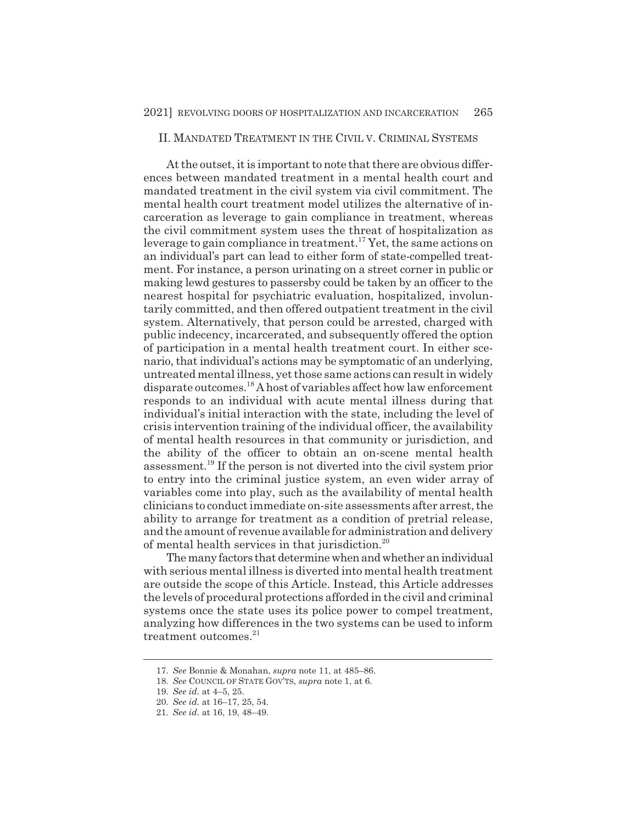#### II. MANDATED TREATMENT IN THE CIVIL V. CRIMINAL SYSTEMS

At the outset, it is important to note that there are obvious differences between mandated treatment in a mental health court and mandated treatment in the civil system via civil commitment. The mental health court treatment model utilizes the alternative of incarceration as leverage to gain compliance in treatment, whereas the civil commitment system uses the threat of hospitalization as leverage to gain compliance in treatment.<sup>17</sup> Yet, the same actions on an individual's part can lead to either form of state-compelled treatment. For instance, a person urinating on a street corner in public or making lewd gestures to passersby could be taken by an officer to the nearest hospital for psychiatric evaluation, hospitalized, involuntarily committed, and then offered outpatient treatment in the civil system. Alternatively, that person could be arrested, charged with public indecency, incarcerated, and subsequently offered the option of participation in a mental health treatment court. In either scenario, that individual's actions may be symptomatic of an underlying, untreated mental illness, yet those same actions can result in widely disparate outcomes.18 A host of variables affect how law enforcement responds to an individual with acute mental illness during that individual's initial interaction with the state, including the level of crisis intervention training of the individual officer, the availability of mental health resources in that community or jurisdiction, and the ability of the officer to obtain an on-scene mental health assessment.19 If the person is not diverted into the civil system prior to entry into the criminal justice system, an even wider array of variables come into play, such as the availability of mental health clinicians to conduct immediate on-site assessments after arrest, the ability to arrange for treatment as a condition of pretrial release, and the amount of revenue available for administration and delivery of mental health services in that jurisdiction.20

The many factors that determine when and whether an individual with serious mental illness is diverted into mental health treatment are outside the scope of this Article. Instead, this Article addresses the levels of procedural protections afforded in the civil and criminal systems once the state uses its police power to compel treatment, analyzing how differences in the two systems can be used to inform treatment outcomes.<sup>21</sup>

<sup>17.</sup> *See* Bonnie & Monahan, *supra* note 11, at 485–86.

<sup>18.</sup> *See* COUNCIL OF STATE GOV'TS, *supra* note 1, at 6.

<sup>19.</sup> *See id.* at 4–5, 25.

<sup>20.</sup> *See id.* at 16–17, 25, 54.

<sup>21.</sup> *See id.* at 16, 19, 48–49.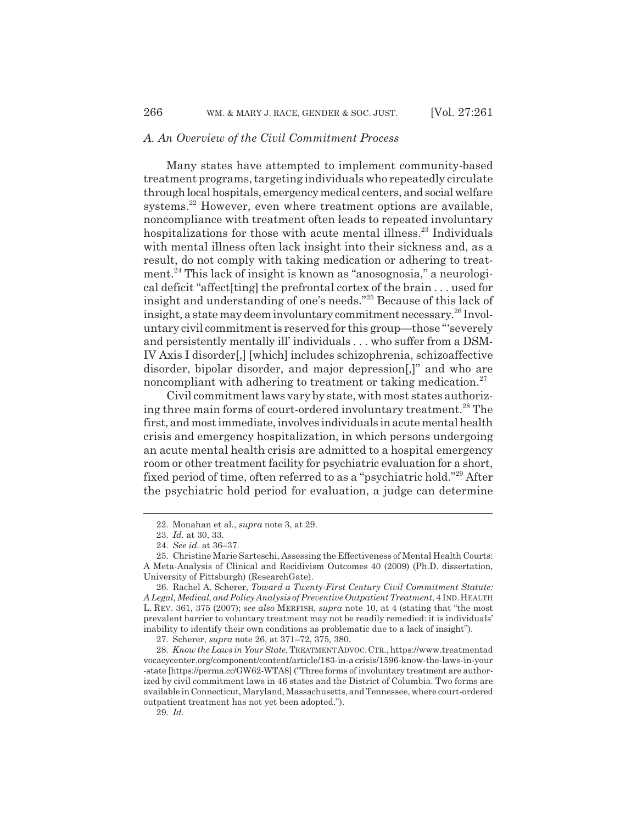#### *A. An Overview of the Civil Commitment Process*

Many states have attempted to implement community-based treatment programs, targeting individuals who repeatedly circulate through local hospitals, emergency medical centers, and social welfare systems.<sup>22</sup> However, even where treatment options are available, noncompliance with treatment often leads to repeated involuntary hospitalizations for those with acute mental illness.<sup>23</sup> Individuals with mental illness often lack insight into their sickness and, as a result, do not comply with taking medication or adhering to treatment.24 This lack of insight is known as "anosognosia," a neurological deficit "affect[ting] the prefrontal cortex of the brain . . . used for insight and understanding of one's needs."25 Because of this lack of insight, a state may deem involuntary commitment necessary.<sup>26</sup> Involuntary civil commitment is reserved for this group—those "'severely and persistently mentally ill' individuals . . . who suffer from a DSM-IV Axis I disorder[,] [which] includes schizophrenia, schizoaffective disorder, bipolar disorder, and major depression[,]" and who are noncompliant with adhering to treatment or taking medication.<sup>27</sup>

Civil commitment laws vary by state, with most states authorizing three main forms of court-ordered involuntary treatment.<sup>28</sup> The first, and most immediate, involves individuals in acute mental health crisis and emergency hospitalization, in which persons undergoing an acute mental health crisis are admitted to a hospital emergency room or other treatment facility for psychiatric evaluation for a short, fixed period of time, often referred to as a "psychiatric hold."29 After the psychiatric hold period for evaluation, a judge can determine

<sup>22.</sup> Monahan et al., *supra* note 3, at 29.

<sup>23.</sup> *Id.* at 30, 33.

<sup>24.</sup> *See id.* at 36–37.

<sup>25.</sup> Christine Marie Sarteschi, Assessing the Effectiveness of Mental Health Courts: A Meta-Analysis of Clinical and Recidivism Outcomes 40 (2009) (Ph.D. dissertation, University of Pittsburgh) (ResearchGate).

<sup>26.</sup> Rachel A. Scherer, *Toward a Twenty-First Century Civil Commitment Statute: A Legal, Medical, and Policy Analysis of Preventive Outpatient Treatment*, 4 IND.HEALTH L. REV. 361, 375 (2007); *see also* MERFISH, *supra* note 10, at 4 (stating that "the most prevalent barrier to voluntary treatment may not be readily remedied: it is individuals' inability to identify their own conditions as problematic due to a lack of insight").

<sup>27.</sup> Scherer, *supra* note 26, at 371–72, 375, 380.

<sup>28.</sup> *Know the Laws in Your State*, TREATMENTADVOC.CTR., https://www.treatmentad vocacycenter.org/component/content/article/183-in-a crisis/1596-know-the-laws-in-your -state [https://perma.cc/GW62-WTA8] ("Three forms of involuntary treatment are authorized by civil commitment laws in 46 states and the District of Columbia. Two forms are available in Connecticut, Maryland, Massachusetts, and Tennessee, where court-ordered outpatient treatment has not yet been adopted.").

<sup>29.</sup> *Id.*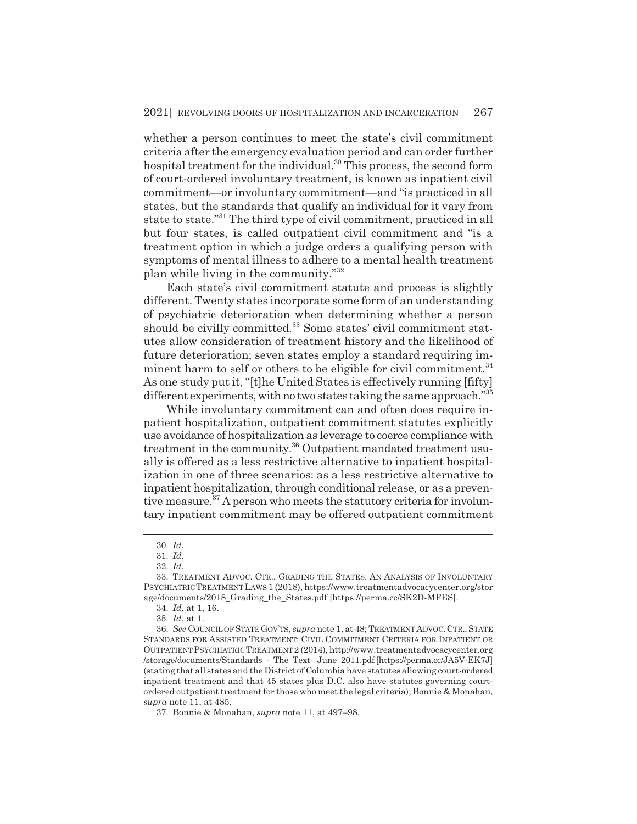whether a person continues to meet the state's civil commitment criteria after the emergency evaluation period and can order further hospital treatment for the individual. $30$  This process, the second form of court-ordered involuntary treatment, is known as inpatient civil commitment—or involuntary commitment—and "is practiced in all states, but the standards that qualify an individual for it vary from state to state."31 The third type of civil commitment, practiced in all but four states, is called outpatient civil commitment and "is a treatment option in which a judge orders a qualifying person with symptoms of mental illness to adhere to a mental health treatment plan while living in the community."32

Each state's civil commitment statute and process is slightly different. Twenty states incorporate some form of an understanding of psychiatric deterioration when determining whether a person should be civilly committed.<sup>33</sup> Some states' civil commitment statutes allow consideration of treatment history and the likelihood of future deterioration; seven states employ a standard requiring imminent harm to self or others to be eligible for civil commitment.<sup>34</sup> As one study put it, "[t]he United States is effectively running [fifty] different experiments, with no two states taking the same approach."<sup>35</sup>

While involuntary commitment can and often does require inpatient hospitalization, outpatient commitment statutes explicitly use avoidance of hospitalization as leverage to coerce compliance with treatment in the community.36 Outpatient mandated treatment usually is offered as a less restrictive alternative to inpatient hospitalization in one of three scenarios: as a less restrictive alternative to inpatient hospitalization, through conditional release, or as a preventive measure.<sup>37</sup> A person who meets the statutory criteria for involuntary inpatient commitment may be offered outpatient commitment

<sup>30.</sup> *Id.*

<sup>31.</sup> *Id.*

<sup>32.</sup> *Id.*

<sup>33.</sup> TREATMENT ADVOC. CTR., GRADING THE STATES: AN ANALYSIS OF INVOLUNTARY PSYCHIATRIC TREATMENT LAWS 1 (2018), https://www.treatmentadvocacycenter.org/stor age/documents/2018\_Grading\_the\_States.pdf [https://perma.cc/SK2D-MFES].

<sup>34.</sup> *Id.* at 1, 16.

<sup>35.</sup> *Id.* at 1.

<sup>36.</sup> *See* COUNCIL OF STATEGOV'TS, *supra* note 1, at 48; TREATMENTADVOC.CTR.,STATE STANDARDS FOR ASSISTED TREATMENT: CIVIL COMMITMENT CRITERIA FOR INPATIENT OR OUTPATIENTPSYCHIATRIC TREATMENT2 (2014), http://www.treatmentadvocacycenter.org /storage/documents/Standards\_-\_The\_Text-\_June\_2011.pdf [https://perma.cc/JA5V-EK7J] (stating that all states and the District of Columbia have statutes allowing court-ordered inpatient treatment and that 45 states plus D.C. also have statutes governing courtordered outpatient treatment for those who meet the legal criteria); Bonnie & Monahan, *supra* note 11, at 485.

<sup>37.</sup> Bonnie & Monahan, *supra* note 11, at 497–98.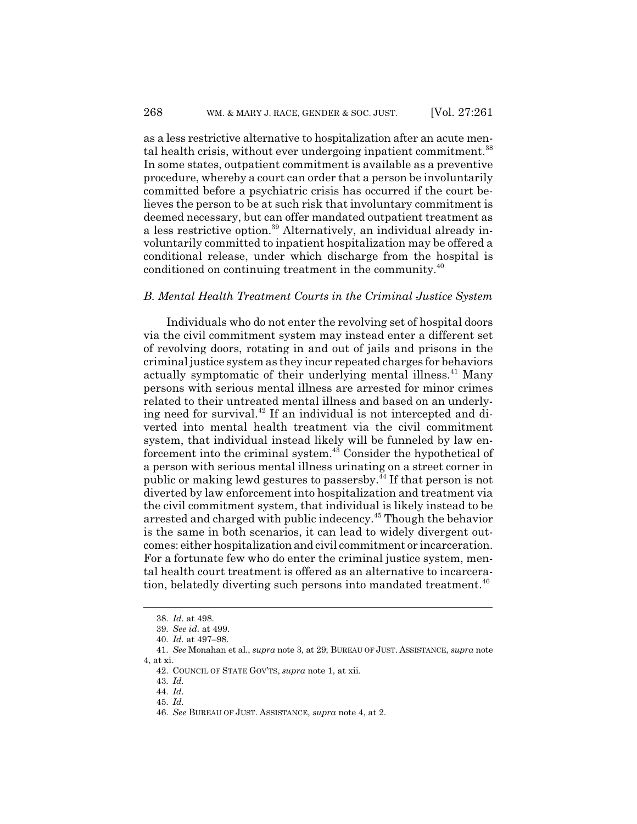as a less restrictive alternative to hospitalization after an acute mental health crisis, without ever undergoing inpatient commitment.<sup>38</sup> In some states, outpatient commitment is available as a preventive procedure, whereby a court can order that a person be involuntarily committed before a psychiatric crisis has occurred if the court believes the person to be at such risk that involuntary commitment is deemed necessary, but can offer mandated outpatient treatment as a less restrictive option.39 Alternatively, an individual already involuntarily committed to inpatient hospitalization may be offered a conditional release, under which discharge from the hospital is conditioned on continuing treatment in the community.<sup>40</sup>

#### *B. Mental Health Treatment Courts in the Criminal Justice System*

Individuals who do not enter the revolving set of hospital doors via the civil commitment system may instead enter a different set of revolving doors, rotating in and out of jails and prisons in the criminal justice system as they incur repeated charges for behaviors actually symptomatic of their underlying mental illness.<sup>41</sup> Many persons with serious mental illness are arrested for minor crimes related to their untreated mental illness and based on an underlying need for survival.<sup>42</sup> If an individual is not intercepted and diverted into mental health treatment via the civil commitment system, that individual instead likely will be funneled by law enforcement into the criminal system.<sup>43</sup> Consider the hypothetical of a person with serious mental illness urinating on a street corner in public or making lewd gestures to passersby.44 If that person is not diverted by law enforcement into hospitalization and treatment via the civil commitment system, that individual is likely instead to be arrested and charged with public indecency.45 Though the behavior is the same in both scenarios, it can lead to widely divergent outcomes: either hospitalization and civil commitment or incarceration. For a fortunate few who do enter the criminal justice system, mental health court treatment is offered as an alternative to incarceration, belatedly diverting such persons into mandated treatment.<sup>46</sup>

<sup>38.</sup> *Id.* at 498.

<sup>39.</sup> *See id.* at 499.

<sup>40.</sup> *Id.* at 497–98.

<sup>41.</sup> *See* Monahan et al., *supra* note 3, at 29; BUREAU OF JUST. ASSISTANCE, *supra* note 4, at xi.

<sup>42.</sup> COUNCIL OF STATE GOV'TS, *supra* note 1, at xii.

<sup>43.</sup> *Id.*

<sup>44.</sup> *Id.*

<sup>45.</sup> *Id.*

<sup>46.</sup> *See* BUREAU OF JUST. ASSISTANCE, *supra* note 4, at 2.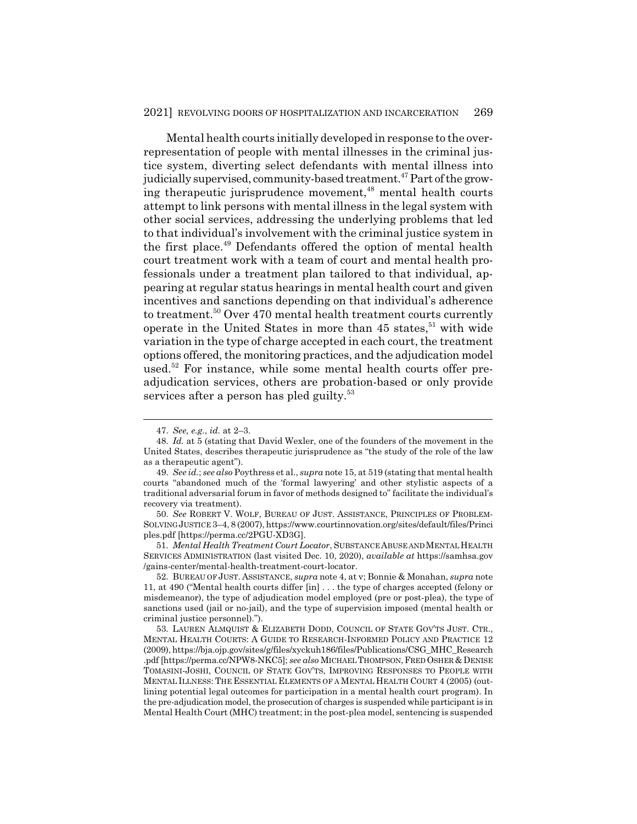Mental health courts initially developed in response to the overrepresentation of people with mental illnesses in the criminal justice system, diverting select defendants with mental illness into judicially supervised, community-based treatment.<sup>47</sup> Part of the growing therapeutic jurisprudence movement,<sup>48</sup> mental health courts attempt to link persons with mental illness in the legal system with other social services, addressing the underlying problems that led to that individual's involvement with the criminal justice system in the first place.49 Defendants offered the option of mental health court treatment work with a team of court and mental health professionals under a treatment plan tailored to that individual, appearing at regular status hearings in mental health court and given incentives and sanctions depending on that individual's adherence to treatment.<sup>50</sup> Over 470 mental health treatment courts currently operate in the United States in more than  $45$  states,<sup>51</sup> with wide variation in the type of charge accepted in each court, the treatment options offered, the monitoring practices, and the adjudication model used.<sup>52</sup> For instance, while some mental health courts offer preadjudication services, others are probation-based or only provide services after a person has pled guilty.<sup>53</sup>

51. *Mental Health Treatment Court Locator*, SUBSTANCE ABUSE AND MENTALHEALTH SERVICES ADMINISTRATION (last visited Dec. 10, 2020), *available at* https://samhsa.gov /gains-center/mental-health-treatment-court-locator.

52. BUREAU OF JUST. ASSISTANCE, *supra* note 4, at v; Bonnie & Monahan, *supra* note 11, at 490 ("Mental health courts differ [in] . . . the type of charges accepted (felony or misdemeanor), the type of adjudication model employed (pre or post-plea), the type of sanctions used (jail or no-jail), and the type of supervision imposed (mental health or criminal justice personnel).").

<sup>47.</sup> *See, e.g.*, *id.* at 2–3.

<sup>48.</sup> *Id.* at 5 (stating that David Wexler, one of the founders of the movement in the United States, describes therapeutic jurisprudence as "the study of the role of the law as a therapeutic agent").

<sup>49.</sup> *See id.*; *see also* Poythress et al., *supra* note 15, at 519 (stating that mental health courts "abandoned much of the 'formal lawyering' and other stylistic aspects of a traditional adversarial forum in favor of methods designed to" facilitate the individual's recovery via treatment).

<sup>50.</sup> *See* ROBERT V. WOLF, BUREAU OF JUST. ASSISTANCE, PRINCIPLES OF PROBLEM-SOLVINGJUSTICE 3–4, 8 (2007), https://www.courtinnovation.org/sites/default/files/Princi ples.pdf [https://perma.cc/2PGU-XD3G].

<sup>53.</sup> LAUREN ALMQUIST & ELIZABETH DODD, COUNCIL OF STATE GOV'TS JUST. CTR., MENTAL HEALTH COURTS: A GUIDE TO RESEARCH-INFORMED POLICY AND PRACTICE 12 (2009), https://bja.ojp.gov/sites/g/files/xyckuh186/files/Publications/CSG\_MHC\_Research .pdf [https://perma.cc/NPW8-NKC5]; *see also* MICHAEL THOMPSON, FRED OSHER & DENISE TOMASINI-JOSHI, COUNCIL OF STATE GOV'TS, IMPROVING RESPONSES TO PEOPLE WITH MENTAL ILLNESS: THE ESSENTIAL ELEMENTS OF A MENTAL HEALTH COURT 4 (2005) (outlining potential legal outcomes for participation in a mental health court program). In the pre-adjudication model, the prosecution of charges is suspended while participant is in Mental Health Court (MHC) treatment; in the post-plea model, sentencing is suspended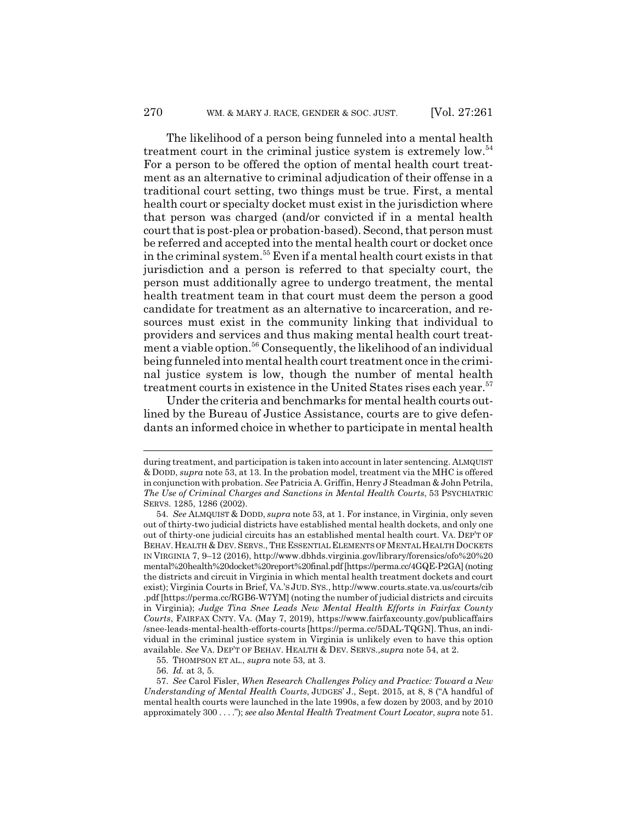The likelihood of a person being funneled into a mental health treatment court in the criminal justice system is extremely low.<sup>54</sup> For a person to be offered the option of mental health court treatment as an alternative to criminal adjudication of their offense in a traditional court setting, two things must be true. First, a mental health court or specialty docket must exist in the jurisdiction where that person was charged (and/or convicted if in a mental health court that is post-plea or probation-based). Second, that person must be referred and accepted into the mental health court or docket once in the criminal system.55 Even if a mental health court exists in that jurisdiction and a person is referred to that specialty court, the person must additionally agree to undergo treatment, the mental health treatment team in that court must deem the person a good candidate for treatment as an alternative to incarceration, and resources must exist in the community linking that individual to providers and services and thus making mental health court treatment a viable option.<sup>56</sup> Consequently, the likelihood of an individual being funneled into mental health court treatment once in the criminal justice system is low, though the number of mental health treatment courts in existence in the United States rises each year.<sup>57</sup>

Under the criteria and benchmarks for mental health courts outlined by the Bureau of Justice Assistance, courts are to give defendants an informed choice in whether to participate in mental health

during treatment, and participation is taken into account in later sentencing. ALMQUIST & DODD, *supra* note 53, at 13. In the probation model, treatment via the MHC is offered in conjunction with probation. *See* Patricia A. Griffin, Henry J Steadman & John Petrila, *The Use of Criminal Charges and Sanctions in Mental Health Courts*, 53 PSYCHIATRIC SERVS. 1285, 1286 (2002).

<sup>54.</sup> *See* ALMQUIST & DODD, *supra* note 53, at 1. For instance, in Virginia, only seven out of thirty-two judicial districts have established mental health dockets, and only one out of thirty-one judicial circuits has an established mental health court. VA. DEP'T OF BEHAV. HEALTH & DEV. SERVS., THE ESSENTIAL ELEMENTS OF MENTAL HEALTH DOCKETS IN VIRGINIA 7, 9–12 (2016), http://www.dbhds.virginia.gov/library/forensics/ofo%20%20 mental%20health%20docket%20report%20final.pdf [https://perma.cc/4GQE-P2GA] (noting the districts and circuit in Virginia in which mental health treatment dockets and court exist); Virginia Courts in Brief, VA.'S JUD. SYS., http://www.courts.state.va.us/courts/cib .pdf [https://perma.cc/RGB6-W7YM] (noting the number of judicial districts and circuits in Virginia); *Judge Tina Snee Leads New Mental Health Efforts in Fairfax County Courts*, FAIRFAX CNTY. VA. (May 7, 2019), https://www.fairfaxcounty.gov/publicaffairs /snee-leads-mental-health-efforts-courts [https://perma.cc/5DAL-TQGN]. Thus, an individual in the criminal justice system in Virginia is unlikely even to have this option available. *See* VA. DEP'T OF BEHAV. HEALTH & DEV. SERVS.,*supra* note 54, at 2.

<sup>55.</sup> THOMPSON ET AL., *supra* note 53, at 3.

<sup>56.</sup> *Id.* at 3, 5.

<sup>57.</sup> *See* Carol Fisler, *When Research Challenges Policy and Practice: Toward a New Understanding of Mental Health Courts*, JUDGES' J., Sept. 2015, at 8, 8 ("A handful of mental health courts were launched in the late 1990s, a few dozen by 2003, and by 2010 approximately 300 . . . ."); *see also Mental Health Treatment Court Locator*, *supra* note 51.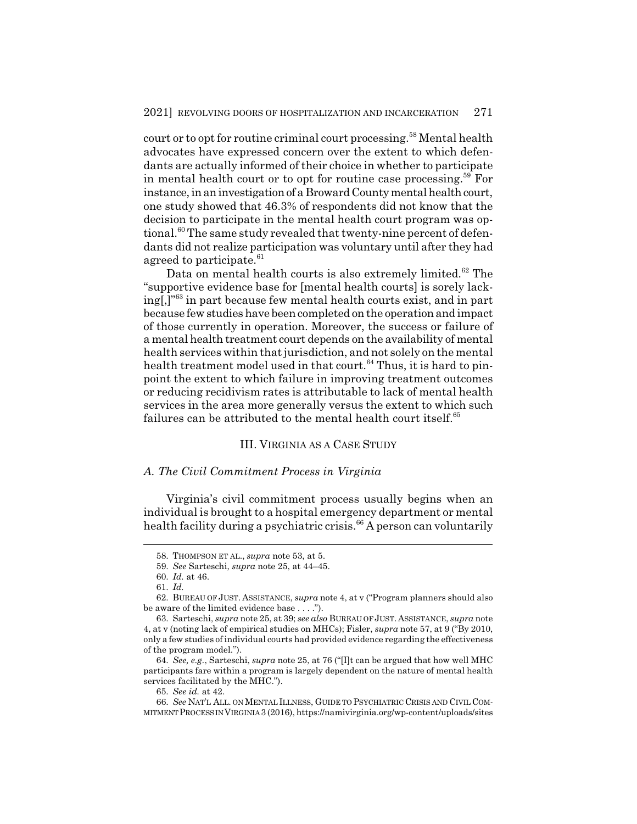court or to opt for routine criminal court processing.<sup>58</sup> Mental health advocates have expressed concern over the extent to which defendants are actually informed of their choice in whether to participate in mental health court or to opt for routine case processing.<sup>59</sup> For instance, in an investigation of a Broward County mental health court, one study showed that 46.3% of respondents did not know that the decision to participate in the mental health court program was optional.<sup>60</sup> The same study revealed that twenty-nine percent of defendants did not realize participation was voluntary until after they had agreed to participate.<sup>61</sup>

Data on mental health courts is also extremely limited. $62$  The "supportive evidence base for [mental health courts] is sorely lacking[,]"63 in part because few mental health courts exist, and in part because few studies have been completed on the operation and impact of those currently in operation. Moreover, the success or failure of a mental health treatment court depends on the availability of mental health services within that jurisdiction, and not solely on the mental health treatment model used in that court.<sup>64</sup> Thus, it is hard to pinpoint the extent to which failure in improving treatment outcomes or reducing recidivism rates is attributable to lack of mental health services in the area more generally versus the extent to which such failures can be attributed to the mental health court itself.<sup>65</sup>

#### III. VIRGINIA AS A CASE STUDY

#### *A. The Civil Commitment Process in Virginia*

Virginia's civil commitment process usually begins when an individual is brought to a hospital emergency department or mental health facility during a psychiatric crisis.<sup>66</sup> A person can voluntarily

<sup>58.</sup> THOMPSON ET AL., *supra* note 53, at 5.

<sup>59.</sup> *See* Sarteschi, *supra* note 25, at 44–45.

<sup>60.</sup> *Id.* at 46.

<sup>61.</sup> *Id.*

<sup>62.</sup> BUREAU OF JUST. ASSISTANCE, *supra* note 4, at v ("Program planners should also be aware of the limited evidence base . . . .").

<sup>63.</sup> Sarteschi, *supra* note 25, at 39; *see also* BUREAU OF JUST. ASSISTANCE, *supra* note 4, at v (noting lack of empirical studies on MHCs); Fisler, *supra* note 57, at 9 ("By 2010, only a few studies of individual courts had provided evidence regarding the effectiveness of the program model.").

<sup>64.</sup> *See, e.g.*, Sarteschi, *supra* note 25, at 76 ("[I]t can be argued that how well MHC participants fare within a program is largely dependent on the nature of mental health services facilitated by the MHC.").

<sup>65.</sup> *See id.* at 42.

<sup>66.</sup> *See* NAT'L ALL. ON MENTAL ILLNESS, GUIDE TO PSYCHIATRIC CRISIS AND CIVIL COM-MITMENTPROCESS IN VIRGINIA 3 (2016), https://namivirginia.org/wp-content/uploads/sites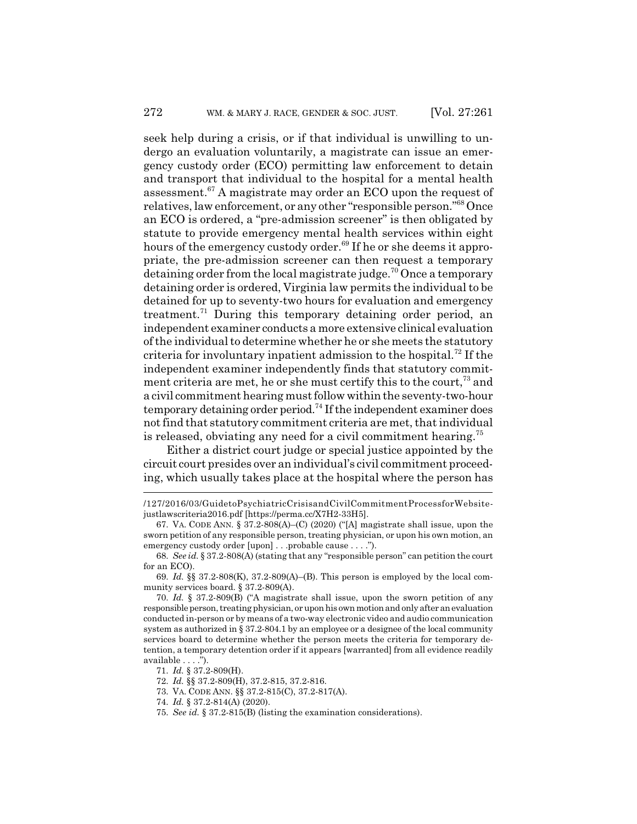seek help during a crisis, or if that individual is unwilling to undergo an evaluation voluntarily, a magistrate can issue an emergency custody order (ECO) permitting law enforcement to detain and transport that individual to the hospital for a mental health assessment. $67$  A magistrate may order an ECO upon the request of relatives, law enforcement, or any other "responsible person."68 Once an ECO is ordered, a "pre-admission screener" is then obligated by statute to provide emergency mental health services within eight hours of the emergency custody order.<sup>69</sup> If he or she deems it appropriate, the pre-admission screener can then request a temporary detaining order from the local magistrate judge.<sup>70</sup> Once a temporary detaining order is ordered, Virginia law permits the individual to be detained for up to seventy-two hours for evaluation and emergency treatment.<sup>71</sup> During this temporary detaining order period, an independent examiner conducts a more extensive clinical evaluation of the individual to determine whether he or she meets the statutory criteria for involuntary inpatient admission to the hospital.72 If the independent examiner independently finds that statutory commitment criteria are met, he or she must certify this to the court,  $73$  and a civil commitment hearing must follow within the seventy-two-hour temporary detaining order period.<sup>74</sup> If the independent examiner does not find that statutory commitment criteria are met, that individual is released, obviating any need for a civil commitment hearing.<sup>75</sup>

Either a district court judge or special justice appointed by the circuit court presides over an individual's civil commitment proceeding, which usually takes place at the hospital where the person has

71. *Id.* § 37.2-809(H).

72. *Id.* §§ 37.2-809(H), 37.2-815, 37.2-816.

- 73. VA. CODE ANN. §§ 37.2-815(C), 37.2-817(A).
- 74. *Id.* § 37.2-814(A) (2020).
- 75. *See id.* § 37.2-815(B) (listing the examination considerations).

<sup>/127/2016/03/</sup>GuidetoPsychiatricCrisisandCivilCommitmentProcessforWebsitejustlawscriteria2016.pdf [https://perma.cc/X7H2-33H5].

<sup>67.</sup> VA. CODE ANN. § 37.2-808(A)–(C) (2020) ("[A] magistrate shall issue, upon the sworn petition of any responsible person, treating physician, or upon his own motion, an emergency custody order [upon] . . .probable cause . . . .").

<sup>68.</sup> *See id.* § 37.2-808(A) (stating that any "responsible person" can petition the court for an ECO).

<sup>69.</sup> *Id.* §§ 37.2-808(K), 37.2-809(A)–(B). This person is employed by the local community services board. § 37.2-809(A).

<sup>70.</sup> *Id.* § 37.2-809(B) ("A magistrate shall issue, upon the sworn petition of any responsible person, treating physician, or upon his own motion and only after an evaluation conducted in-person or by means of a two-way electronic video and audio communication system as authorized in § 37.2-804.1 by an employee or a designee of the local community services board to determine whether the person meets the criteria for temporary detention, a temporary detention order if it appears [warranted] from all evidence readily available . . . .").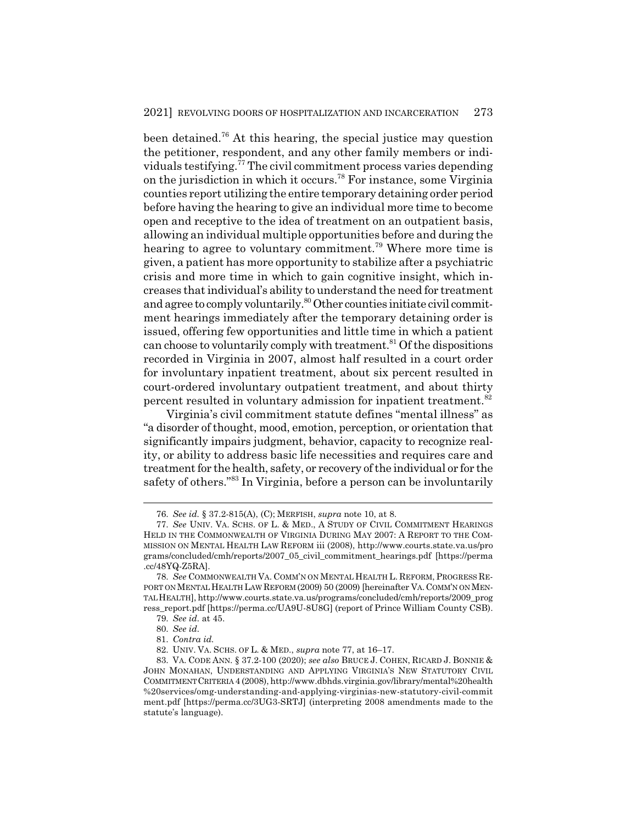been detained.76 At this hearing, the special justice may question the petitioner, respondent, and any other family members or individuals testifying.77 The civil commitment process varies depending on the jurisdiction in which it occurs.78 For instance, some Virginia counties report utilizing the entire temporary detaining order period before having the hearing to give an individual more time to become open and receptive to the idea of treatment on an outpatient basis, allowing an individual multiple opportunities before and during the hearing to agree to voluntary commitment.<sup>79</sup> Where more time is given, a patient has more opportunity to stabilize after a psychiatric crisis and more time in which to gain cognitive insight, which increases that individual's ability to understand the need for treatment and agree to comply voluntarily.<sup>80</sup> Other counties initiate civil commitment hearings immediately after the temporary detaining order is issued, offering few opportunities and little time in which a patient can choose to voluntarily comply with treatment. $81$  Of the dispositions recorded in Virginia in 2007, almost half resulted in a court order for involuntary inpatient treatment, about six percent resulted in court-ordered involuntary outpatient treatment, and about thirty percent resulted in voluntary admission for inpatient treatment.<sup>82</sup>

Virginia's civil commitment statute defines "mental illness" as "a disorder of thought, mood, emotion, perception, or orientation that significantly impairs judgment, behavior, capacity to recognize reality, or ability to address basic life necessities and requires care and treatment for the health, safety, or recovery of the individual or for the safety of others."83 In Virginia, before a person can be involuntarily

<sup>76.</sup> *See id.* § 37.2-815(A), (C); MERFISH, *supra* note 10, at 8.

<sup>77.</sup> *See* UNIV. VA. SCHS. OF L. & MED., A STUDY OF CIVIL COMMITMENT HEARINGS HELD IN THE COMMONWEALTH OF VIRGINIA DURING MAY 2007: A REPORT TO THE COM-MISSION ON MENTAL HEALTH LAW REFORM iii (2008), http://www.courts.state.va.us/pro grams/concluded/cmh/reports/2007\_05\_civil\_commitment\_hearings.pdf [https://perma .cc/48YQ-Z5RA].

<sup>78.</sup> *See* COMMONWEALTH VA. COMM'N ON MENTAL HEALTH L. REFORM, PROGRESS RE-PORT ON MENTAL HEALTH LAW REFORM (2009) 50 (2009) [hereinafter VA. COMM'N ON MEN-TALHEALTH], http://www.courts.state.va.us/programs/concluded/cmh/reports/2009\_prog ress\_report.pdf [https://perma.cc/UA9U-8U8G] (report of Prince William County CSB).

<sup>79.</sup> *See id.* at 45.

<sup>80.</sup> *See id.*

<sup>81.</sup> *Contra id.*

<sup>82.</sup> UNIV. VA. SCHS. OF L. & MED., *supra* note 77, at 16–17.

<sup>83.</sup> VA. CODE ANN. § 37.2-100 (2020); *see also* BRUCE J. COHEN, RICARD J. BONNIE & JOHN MONAHAN, UNDERSTANDING AND APPLYING VIRGINIA'S NEW STATUTORY CIVIL COMMITMENTCRITERIA 4 (2008), http://www.dbhds.virginia.gov/library/mental%20health %20services/omg-understanding-and-applying-virginias-new-statutory-civil-commit ment.pdf [https://perma.cc/3UG3-SRTJ] (interpreting 2008 amendments made to the statute's language).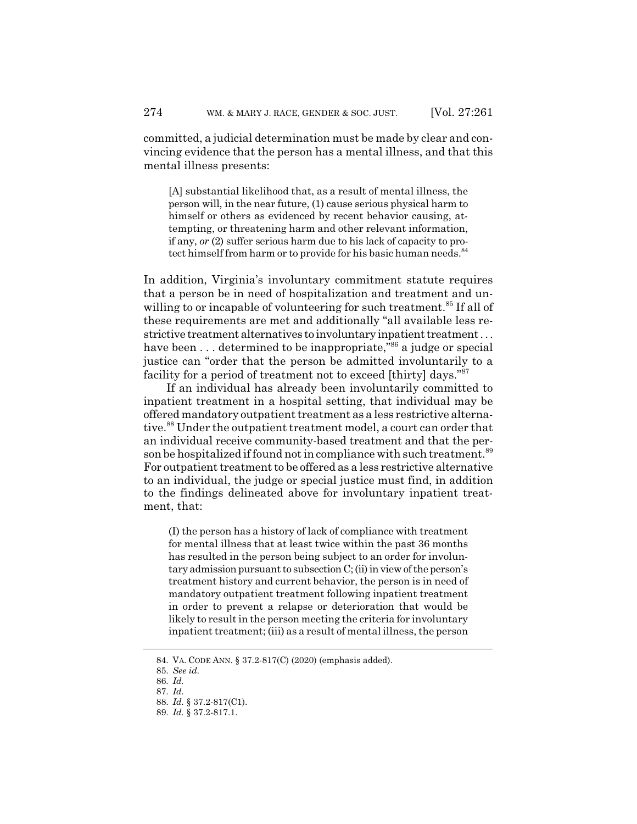committed, a judicial determination must be made by clear and convincing evidence that the person has a mental illness, and that this mental illness presents:

[A] substantial likelihood that, as a result of mental illness, the person will, in the near future, (1) cause serious physical harm to himself or others as evidenced by recent behavior causing, attempting, or threatening harm and other relevant information, if any, *or* (2) suffer serious harm due to his lack of capacity to protect himself from harm or to provide for his basic human needs.<sup>84</sup>

In addition, Virginia's involuntary commitment statute requires that a person be in need of hospitalization and treatment and unwilling to or incapable of volunteering for such treatment.<sup>85</sup> If all of these requirements are met and additionally "all available less restrictive treatment alternatives to involuntary inpatient treatment . . . have been  $\dots$  determined to be inappropriate,<sup> $n_{66}$ </sup> a judge or special justice can "order that the person be admitted involuntarily to a facility for a period of treatment not to exceed [thirty] days."<sup>87</sup>

If an individual has already been involuntarily committed to inpatient treatment in a hospital setting, that individual may be offered mandatory outpatient treatment as a less restrictive alternative.<sup>88</sup> Under the outpatient treatment model, a court can order that an individual receive community-based treatment and that the person be hospitalized if found not in compliance with such treatment.<sup>89</sup> For outpatient treatment to be offered as a less restrictive alternative to an individual, the judge or special justice must find, in addition to the findings delineated above for involuntary inpatient treatment, that:

(I) the person has a history of lack of compliance with treatment for mental illness that at least twice within the past 36 months has resulted in the person being subject to an order for involuntary admission pursuant to subsection C; (ii) in view of the person's treatment history and current behavior, the person is in need of mandatory outpatient treatment following inpatient treatment in order to prevent a relapse or deterioration that would be likely to result in the person meeting the criteria for involuntary inpatient treatment; (iii) as a result of mental illness, the person

<sup>84.</sup> VA. CODE ANN. § 37.2-817(C) (2020) (emphasis added).

<sup>85.</sup> *See id.*

<sup>86.</sup> *Id.*

<sup>87.</sup> *Id.*

<sup>88.</sup> *Id.* § 37.2-817(C1).

<sup>89.</sup> *Id.* § 37.2-817.1.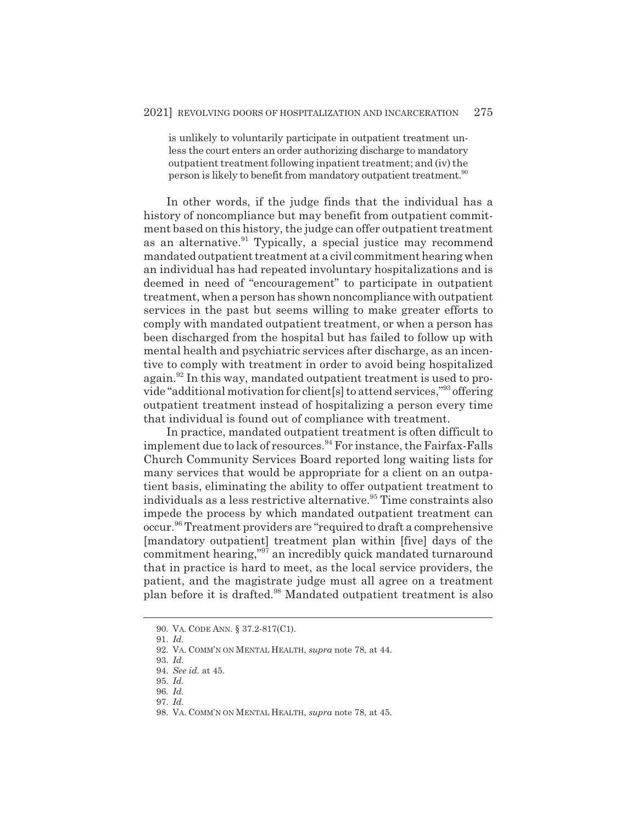is unlikely to voluntarily participate in outpatient treatment unless the court enters an order authorizing discharge to mandatory outpatient treatment following inpatient treatment; and (iv) the person is likely to benefit from mandatory outpatient treatment.<sup>90</sup>

In other words, if the judge finds that the individual has a history of noncompliance but may benefit from outpatient commitment based on this history, the judge can offer outpatient treatment as an alternative.<sup>91</sup> Typically, a special justice may recommend mandated outpatient treatment at a civil commitment hearing when an individual has had repeated involuntary hospitalizations and is deemed in need of "encouragement" to participate in outpatient treatment, when a person has shown noncompliance with outpatient services in the past but seems willing to make greater efforts to comply with mandated outpatient treatment, or when a person has been discharged from the hospital but has failed to follow up with mental health and psychiatric services after discharge, as an incentive to comply with treatment in order to avoid being hospitalized again.<sup>92</sup> In this way, mandated outpatient treatment is used to provide "additional motivation for client[s] to attend services,"93 offering outpatient treatment instead of hospitalizing a person every time that individual is found out of compliance with treatment.

In practice, mandated outpatient treatment is often difficult to implement due to lack of resources.<sup>94</sup> For instance, the Fairfax-Falls Church Community Services Board reported long waiting lists for many services that would be appropriate for a client on an outpatient basis, eliminating the ability to offer outpatient treatment to individuals as a less restrictive alternative.<sup>95</sup> Time constraints also impede the process by which mandated outpatient treatment can occur.96 Treatment providers are "required to draft a comprehensive [mandatory outpatient] treatment plan within [five] days of the commitment hearing,"97 an incredibly quick mandated turnaround that in practice is hard to meet, as the local service providers, the patient, and the magistrate judge must all agree on a treatment plan before it is drafted.98 Mandated outpatient treatment is also

<sup>90.</sup> VA. CODE ANN. § 37.2-817(C1).

<sup>91.</sup> *Id.*

<sup>92.</sup> VA. COMM'N ON MENTAL HEALTH, *supra* note 78, at 44.

<sup>93.</sup> *Id.*

<sup>94.</sup> *See id.* at 45.

<sup>95.</sup> *Id.* 96. *Id.*

<sup>97.</sup> *Id.*

<sup>98.</sup> VA. COMM'N ON MENTAL HEALTH, *supra* note 78, at 45.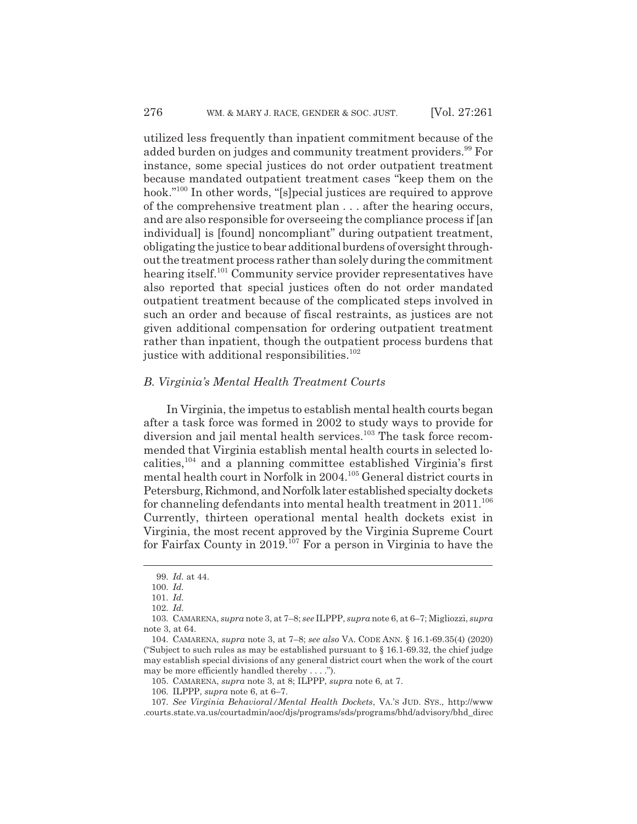utilized less frequently than inpatient commitment because of the added burden on judges and community treatment providers.<sup>99</sup> For instance, some special justices do not order outpatient treatment because mandated outpatient treatment cases "keep them on the hook."100 In other words, "[s]pecial justices are required to approve of the comprehensive treatment plan . . . after the hearing occurs, and are also responsible for overseeing the compliance process if [an individual] is [found] noncompliant" during outpatient treatment, obligating the justice to bear additional burdens of oversight throughout the treatment process rather than solely during the commitment hearing itself.<sup>101</sup> Community service provider representatives have also reported that special justices often do not order mandated outpatient treatment because of the complicated steps involved in such an order and because of fiscal restraints, as justices are not given additional compensation for ordering outpatient treatment rather than inpatient, though the outpatient process burdens that justice with additional responsibilities.<sup>102</sup>

#### *B. Virginia's Mental Health Treatment Courts*

In Virginia, the impetus to establish mental health courts began after a task force was formed in 2002 to study ways to provide for diversion and jail mental health services.<sup>103</sup> The task force recommended that Virginia establish mental health courts in selected localities,  $104$  and a planning committee established Virginia's first mental health court in Norfolk in 2004.105 General district courts in Petersburg, Richmond, and Norfolk later established specialty dockets for channeling defendants into mental health treatment in  $2011$ .<sup>106</sup> Currently, thirteen operational mental health dockets exist in Virginia, the most recent approved by the Virginia Supreme Court for Fairfax County in  $2019$ <sup>107</sup> For a person in Virginia to have the

105. CAMARENA, *supra* note 3, at 8; ILPPP, *supra* note 6, at 7.

<sup>99.</sup> *Id.* at 44.

<sup>100.</sup> *Id.*

<sup>101.</sup> *Id.*

<sup>102.</sup> *Id.*

<sup>103.</sup> CAMARENA, *supra* note 3, at 7–8; *see* ILPPP, *supra* note 6, at 6–7; Migliozzi, *supra* note 3, at 64.

<sup>104.</sup> CAMARENA, *supra* note 3, at 7–8; *see also* VA. CODE ANN. § 16.1-69.35(4) (2020) ("Subject to such rules as may be established pursuant to  $\S$  16.1-69.32, the chief judge may establish special divisions of any general district court when the work of the court may be more efficiently handled thereby . . . .").

<sup>106.</sup> ILPPP, *supra* note 6, at 6–7.

<sup>107.</sup> *See Virginia Behavioral/Mental Health Dockets*, VA.'S JUD. SYS., http://www .courts.state.va.us/courtadmin/aoc/djs/programs/sds/programs/bhd/advisory/bhd\_direc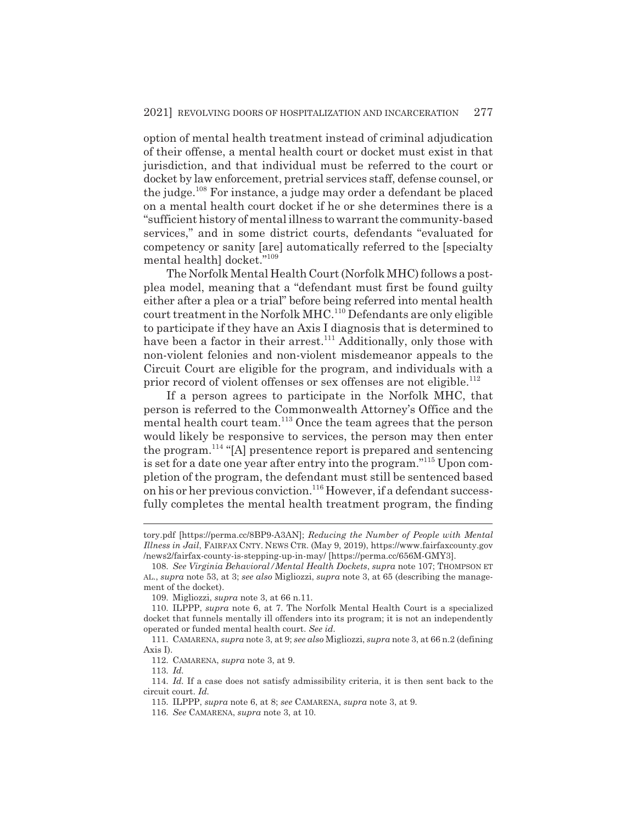option of mental health treatment instead of criminal adjudication of their offense, a mental health court or docket must exist in that jurisdiction, and that individual must be referred to the court or docket by law enforcement, pretrial services staff, defense counsel, or the judge.108 For instance, a judge may order a defendant be placed on a mental health court docket if he or she determines there is a "sufficient history of mental illness to warrant the community-based services," and in some district courts, defendants "evaluated for competency or sanity [are] automatically referred to the [specialty mental health] docket."109

The Norfolk Mental Health Court (Norfolk MHC) follows a postplea model, meaning that a "defendant must first be found guilty either after a plea or a trial" before being referred into mental health court treatment in the Norfolk MHC.<sup>110</sup> Defendants are only eligible to participate if they have an Axis I diagnosis that is determined to have been a factor in their arrest.<sup>111</sup> Additionally, only those with non-violent felonies and non-violent misdemeanor appeals to the Circuit Court are eligible for the program, and individuals with a prior record of violent offenses or sex offenses are not eligible.<sup>112</sup>

If a person agrees to participate in the Norfolk MHC, that person is referred to the Commonwealth Attorney's Office and the mental health court team.<sup>113</sup> Once the team agrees that the person would likely be responsive to services, the person may then enter the program.114 "[A] presentence report is prepared and sentencing is set for a date one year after entry into the program."115 Upon completion of the program, the defendant must still be sentenced based on his or her previous conviction.<sup>116</sup> However, if a defendant successfully completes the mental health treatment program, the finding

tory.pdf [https://perma.cc/8BP9-A3AN]; *Reducing the Number of People with Mental Illness in Jail*, FAIRFAX CNTY. NEWS CTR. (May 9, 2019), https://www.fairfaxcounty.gov /news2/fairfax-county-is-stepping-up-in-may/ [https://perma.cc/656M-GMY3].

<sup>108.</sup> *See Virginia Behavioral/Mental Health Dockets*, *supra* note 107; THOMPSON ET AL., *supra* note 53, at 3; *see also* Migliozzi, *supra* note 3, at 65 (describing the management of the docket).

<sup>109.</sup> Migliozzi, *supra* note 3, at 66 n.11.

<sup>110.</sup> ILPPP, *supra* note 6, at 7. The Norfolk Mental Health Court is a specialized docket that funnels mentally ill offenders into its program; it is not an independently operated or funded mental health court. *See id.*

<sup>111.</sup> CAMARENA, *supra* note 3, at 9; *see also* Migliozzi, *supra* note 3, at 66 n.2 (defining Axis I).

<sup>112.</sup> CAMARENA, *supra* note 3, at 9.

<sup>113.</sup> *Id.*

<sup>114.</sup> *Id.* If a case does not satisfy admissibility criteria, it is then sent back to the circuit court. *Id.*

<sup>115.</sup> ILPPP, *supra* note 6, at 8; *see* CAMARENA, *supra* note 3, at 9.

<sup>116.</sup> *See* CAMARENA, *supra* note 3, at 10.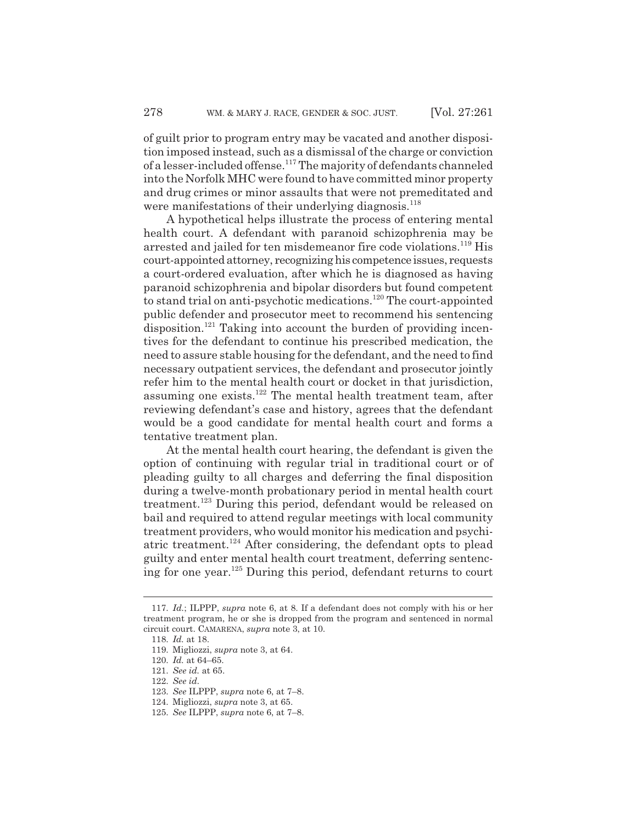of guilt prior to program entry may be vacated and another disposition imposed instead, such as a dismissal of the charge or conviction of a lesser-included offense.<sup>117</sup> The majority of defendants channeled into the Norfolk MHC were found to have committed minor property and drug crimes or minor assaults that were not premeditated and were manifestations of their underlying diagnosis.<sup>118</sup>

A hypothetical helps illustrate the process of entering mental health court. A defendant with paranoid schizophrenia may be arrested and jailed for ten misdemeanor fire code violations.<sup>119</sup> His court-appointed attorney, recognizing his competence issues, requests a court-ordered evaluation, after which he is diagnosed as having paranoid schizophrenia and bipolar disorders but found competent to stand trial on anti-psychotic medications.120 The court-appointed public defender and prosecutor meet to recommend his sentencing disposition.<sup>121</sup> Taking into account the burden of providing incentives for the defendant to continue his prescribed medication, the need to assure stable housing for the defendant, and the need to find necessary outpatient services, the defendant and prosecutor jointly refer him to the mental health court or docket in that jurisdiction, assuming one exists.122 The mental health treatment team, after reviewing defendant's case and history, agrees that the defendant would be a good candidate for mental health court and forms a tentative treatment plan.

At the mental health court hearing, the defendant is given the option of continuing with regular trial in traditional court or of pleading guilty to all charges and deferring the final disposition during a twelve-month probationary period in mental health court treatment.123 During this period, defendant would be released on bail and required to attend regular meetings with local community treatment providers, who would monitor his medication and psychiatric treatment.<sup>124</sup> After considering, the defendant opts to plead guilty and enter mental health court treatment, deferring sentencing for one year.125 During this period, defendant returns to court

<sup>117.</sup> *Id.*; ILPPP, *supra* note 6, at 8. If a defendant does not comply with his or her treatment program, he or she is dropped from the program and sentenced in normal circuit court. CAMARENA, *supra* note 3, at 10.

<sup>118.</sup> *Id.* at 18.

<sup>119.</sup> Migliozzi, *supra* note 3, at 64.

<sup>120.</sup> *Id.* at 64–65.

<sup>121.</sup> *See id.* at 65.

<sup>122.</sup> *See id.*

<sup>123.</sup> *See* ILPPP, *supra* note 6, at 7–8.

<sup>124.</sup> Migliozzi, *supra* note 3, at 65.

<sup>125.</sup> *See* ILPPP, *supra* note 6, at 7–8.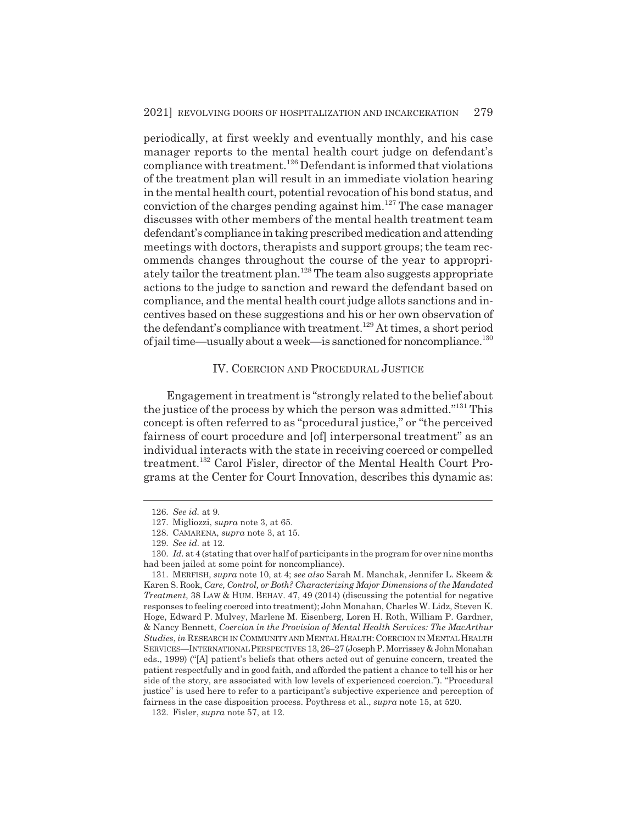periodically, at first weekly and eventually monthly, and his case manager reports to the mental health court judge on defendant's compliance with treatment.126 Defendant is informed that violations of the treatment plan will result in an immediate violation hearing in the mental health court, potential revocation of his bond status, and conviction of the charges pending against  $\lim_{n \to \infty} 127$  The case manager discusses with other members of the mental health treatment team defendant's compliance in taking prescribed medication and attending meetings with doctors, therapists and support groups; the team recommends changes throughout the course of the year to appropriately tailor the treatment plan.128 The team also suggests appropriate actions to the judge to sanction and reward the defendant based on compliance, and the mental health court judge allots sanctions and incentives based on these suggestions and his or her own observation of the defendant's compliance with treatment.<sup>129</sup> At times, a short period of jail time—usually about a week—is sanctioned for noncompliance.130

## IV. COERCION AND PROCEDURAL JUSTICE

Engagement in treatment is "strongly related to the belief about the justice of the process by which the person was admitted."131 This concept is often referred to as "procedural justice," or "the perceived fairness of court procedure and [of] interpersonal treatment" as an individual interacts with the state in receiving coerced or compelled treatment.<sup>132</sup> Carol Fisler, director of the Mental Health Court Programs at the Center for Court Innovation, describes this dynamic as:

<sup>126.</sup> *See id.* at 9.

<sup>127.</sup> Migliozzi, *supra* note 3, at 65.

<sup>128.</sup> CAMARENA, *supra* note 3, at 15.

<sup>129.</sup> *See id.* at 12.

<sup>130.</sup> *Id.* at 4 (stating that over half of participants in the program for over nine months had been jailed at some point for noncompliance).

<sup>131.</sup> MERFISH, *supra* note 10, at 4; *see also* Sarah M. Manchak, Jennifer L. Skeem & Karen S. Rook, *Care, Control, or Both? Characterizing Major Dimensions of the Mandated Treatment*, 38 LAW & HUM. BEHAV. 47, 49 (2014) (discussing the potential for negative responses to feeling coerced into treatment); John Monahan, Charles W. Lidz, Steven K. Hoge, Edward P. Mulvey, Marlene M. Eisenberg, Loren H. Roth, William P. Gardner, & Nancy Bennett, *Coercion in the Provision of Mental Health Services: The MacArthur Studies*, *in* RESEARCH IN COMMUNITY AND MENTAL HEALTH: COERCION IN MENTAL HEALTH SERVICES—INTERNATIONAL PERSPECTIVES 13, 26–27 (Joseph P. Morrissey & John Monahan eds., 1999) ("[A] patient's beliefs that others acted out of genuine concern, treated the patient respectfully and in good faith, and afforded the patient a chance to tell his or her side of the story, are associated with low levels of experienced coercion."). "Procedural justice" is used here to refer to a participant's subjective experience and perception of fairness in the case disposition process. Poythress et al., *supra* note 15, at 520.

<sup>132.</sup> Fisler, *supra* note 57, at 12.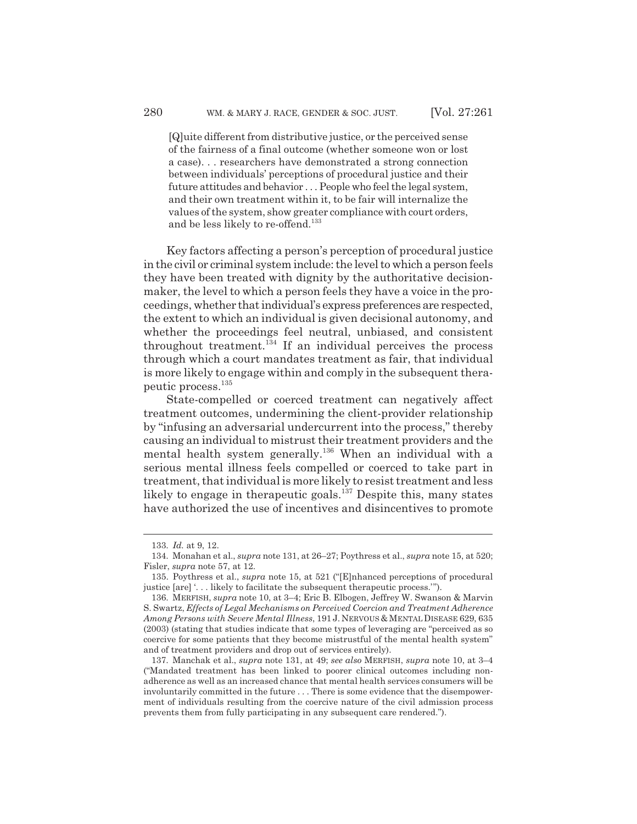[Q]uite different from distributive justice, or the perceived sense of the fairness of a final outcome (whether someone won or lost a case). . . researchers have demonstrated a strong connection between individuals' perceptions of procedural justice and their future attitudes and behavior . . . People who feel the legal system, and their own treatment within it, to be fair will internalize the values of the system, show greater compliance with court orders, and be less likely to re-offend.<sup>133</sup>

Key factors affecting a person's perception of procedural justice in the civil or criminal system include: the level to which a person feels they have been treated with dignity by the authoritative decisionmaker, the level to which a person feels they have a voice in the proceedings, whether that individual's express preferences are respected, the extent to which an individual is given decisional autonomy, and whether the proceedings feel neutral, unbiased, and consistent throughout treatment.<sup>134</sup> If an individual perceives the process through which a court mandates treatment as fair, that individual is more likely to engage within and comply in the subsequent therapeutic process.135

State-compelled or coerced treatment can negatively affect treatment outcomes, undermining the client-provider relationship by "infusing an adversarial undercurrent into the process," thereby causing an individual to mistrust their treatment providers and the mental health system generally.<sup>136</sup> When an individual with a serious mental illness feels compelled or coerced to take part in treatment, that individual is more likely to resist treatment and less likely to engage in the rapeutic goals.<sup>137</sup> Despite this, many states have authorized the use of incentives and disincentives to promote

<sup>133.</sup> *Id.* at 9, 12.

<sup>134.</sup> Monahan et al., *supra* note 131, at 26–27; Poythress et al., *supra* note 15, at 520; Fisler, *supra* note 57, at 12.

<sup>135.</sup> Poythress et al., *supra* note 15, at 521 ("[E]nhanced perceptions of procedural justice [are] '. . . likely to facilitate the subsequent therapeutic process.'").

<sup>136.</sup> MERFISH, *supra* note 10, at 3–4; Eric B. Elbogen, Jeffrey W. Swanson & Marvin S. Swartz, *Effects of Legal Mechanisms on Perceived Coercion and Treatment Adherence Among Persons with Severe Mental Illness*, 191 J. NERVOUS & MENTALDISEASE 629, 635 (2003) (stating that studies indicate that some types of leveraging are "perceived as so coercive for some patients that they become mistrustful of the mental health system" and of treatment providers and drop out of services entirely).

<sup>137.</sup> Manchak et al., *supra* note 131, at 49; *see also* MERFISH, *supra* note 10, at 3–4 ("Mandated treatment has been linked to poorer clinical outcomes including nonadherence as well as an increased chance that mental health services consumers will be involuntarily committed in the future . . . There is some evidence that the disempowerment of individuals resulting from the coercive nature of the civil admission process prevents them from fully participating in any subsequent care rendered.").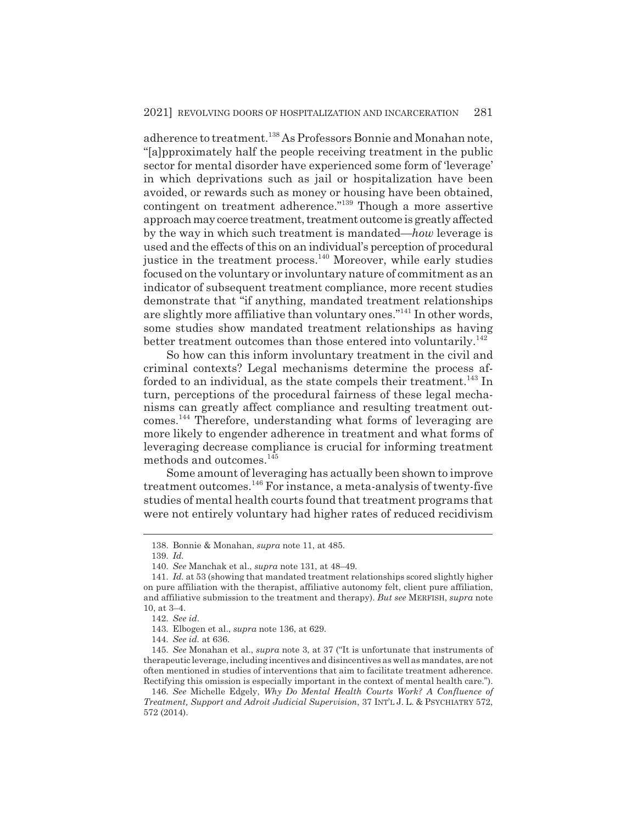adherence to treatment.<sup>138</sup> As Professors Bonnie and Monahan note, "[a]pproximately half the people receiving treatment in the public sector for mental disorder have experienced some form of 'leverage' in which deprivations such as jail or hospitalization have been avoided, or rewards such as money or housing have been obtained, contingent on treatment adherence."139 Though a more assertive approach may coerce treatment, treatment outcome is greatly affected by the way in which such treatment is mandated—*how* leverage is used and the effects of this on an individual's perception of procedural justice in the treatment process.<sup>140</sup> Moreover, while early studies focused on the voluntary or involuntary nature of commitment as an indicator of subsequent treatment compliance, more recent studies demonstrate that "if anything, mandated treatment relationships are slightly more affiliative than voluntary ones."141 In other words, some studies show mandated treatment relationships as having better treatment outcomes than those entered into voluntarily.<sup>142</sup>

So how can this inform involuntary treatment in the civil and criminal contexts? Legal mechanisms determine the process afforded to an individual, as the state compels their treatment.<sup>143</sup> In turn, perceptions of the procedural fairness of these legal mechanisms can greatly affect compliance and resulting treatment outcomes.144 Therefore, understanding what forms of leveraging are more likely to engender adherence in treatment and what forms of leveraging decrease compliance is crucial for informing treatment methods and outcomes.<sup>145</sup>

Some amount of leveraging has actually been shown to improve treatment outcomes.146 For instance, a meta-analysis of twenty-five studies of mental health courts found that treatment programs that were not entirely voluntary had higher rates of reduced recidivism

<sup>138.</sup> Bonnie & Monahan, *supra* note 11, at 485.

<sup>139.</sup> *Id.*

<sup>140.</sup> *See* Manchak et al., *supra* note 131, at 48–49.

<sup>141.</sup> *Id.* at 53 (showing that mandated treatment relationships scored slightly higher on pure affiliation with the therapist, affiliative autonomy felt, client pure affiliation, and affiliative submission to the treatment and therapy). *But see* MERFISH, *supra* note 10, at 3–4.

<sup>142.</sup> *See id.*

<sup>143.</sup> Elbogen et al., *supra* note 136, at 629.

<sup>144.</sup> *See id.* at 636.

<sup>145.</sup> *See* Monahan et al., *supra* note 3, at 37 ("It is unfortunate that instruments of therapeutic leverage, including incentives and disincentives as well as mandates, are not often mentioned in studies of interventions that aim to facilitate treatment adherence. Rectifying this omission is especially important in the context of mental health care.").

<sup>146.</sup> *See* Michelle Edgely, *Why Do Mental Health Courts Work? A Confluence of Treatment, Support and Adroit Judicial Supervision*, 37 INT'L J. L. & PSYCHIATRY 572, 572 (2014).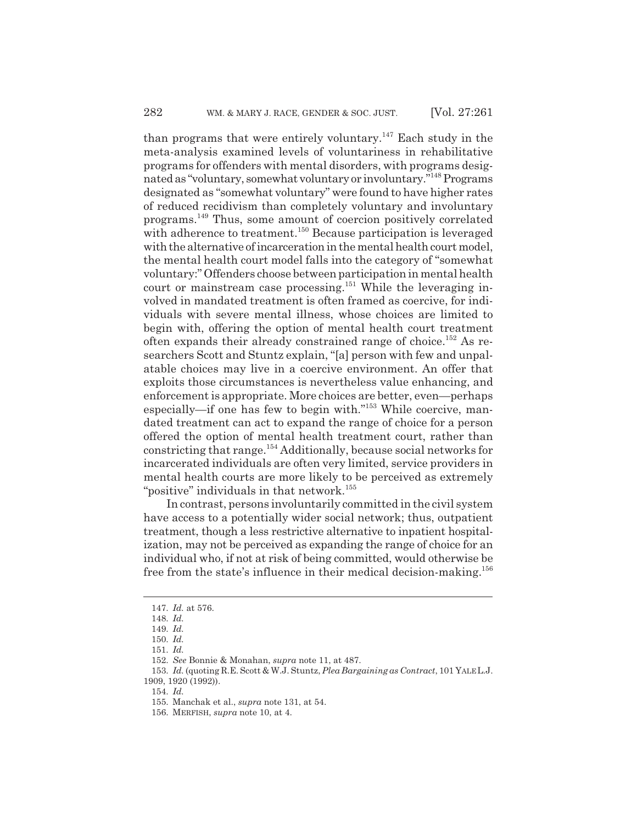than programs that were entirely voluntary.<sup>147</sup> Each study in the meta-analysis examined levels of voluntariness in rehabilitative programs for offenders with mental disorders, with programs designated as "voluntary, somewhat voluntary or involuntary."148 Programs designated as "somewhat voluntary" were found to have higher rates of reduced recidivism than completely voluntary and involuntary programs.149 Thus, some amount of coercion positively correlated with adherence to treatment.<sup>150</sup> Because participation is leveraged with the alternative of incarceration in the mental health court model, the mental health court model falls into the category of "somewhat voluntary:" Offenders choose between participation in mental health court or mainstream case processing.<sup>151</sup> While the leveraging involved in mandated treatment is often framed as coercive, for individuals with severe mental illness, whose choices are limited to begin with, offering the option of mental health court treatment often expands their already constrained range of choice.152 As researchers Scott and Stuntz explain, "[a] person with few and unpalatable choices may live in a coercive environment. An offer that exploits those circumstances is nevertheless value enhancing, and enforcement is appropriate. More choices are better, even—perhaps especially—if one has few to begin with."153 While coercive, mandated treatment can act to expand the range of choice for a person offered the option of mental health treatment court, rather than constricting that range.154 Additionally, because social networks for incarcerated individuals are often very limited, service providers in mental health courts are more likely to be perceived as extremely "positive" individuals in that network.<sup>155</sup>

In contrast, persons involuntarily committed in the civil system have access to a potentially wider social network; thus, outpatient treatment, though a less restrictive alternative to inpatient hospitalization, may not be perceived as expanding the range of choice for an individual who, if not at risk of being committed, would otherwise be free from the state's influence in their medical decision-making.<sup>156</sup>

<sup>147.</sup> *Id.* at 576.

<sup>148.</sup> *Id.*

<sup>149.</sup> *Id.*

<sup>150.</sup> *Id.*

<sup>151.</sup> *Id.*

<sup>152.</sup> *See* Bonnie & Monahan, *supra* note 11, at 487.

<sup>153.</sup> *Id.* (quoting R.E. Scott & W.J. Stuntz, *Plea Bargaining as Contract*, 101 YALE L.J. 1909, 1920 (1992)).

<sup>154.</sup> *Id.*

<sup>155.</sup> Manchak et al., *supra* note 131, at 54.

<sup>156.</sup> MERFISH, *supra* note 10, at 4.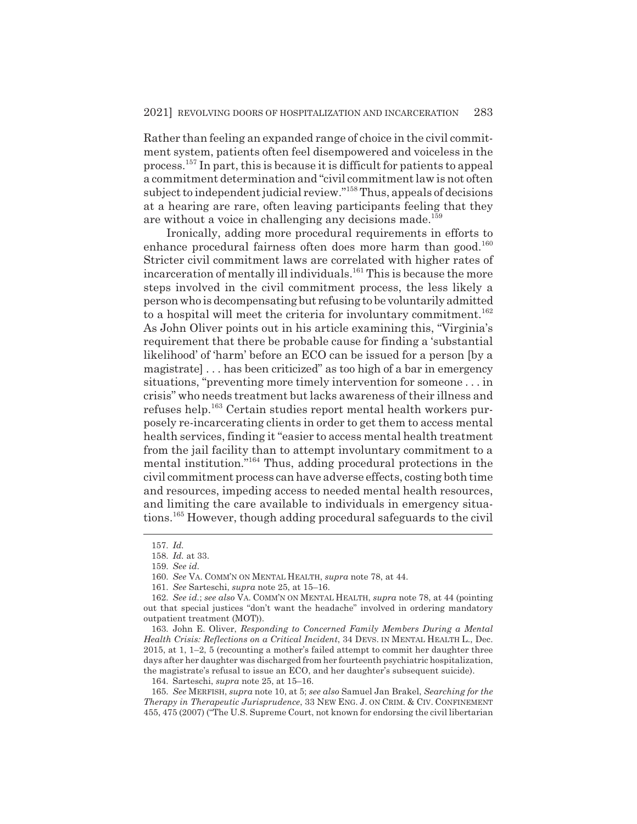Rather than feeling an expanded range of choice in the civil commitment system, patients often feel disempowered and voiceless in the process.157 In part, this is because it is difficult for patients to appeal a commitment determination and "civil commitment law is not often subject to independent judicial review."158 Thus, appeals of decisions at a hearing are rare, often leaving participants feeling that they are without a voice in challenging any decisions made.<sup>159</sup>

Ironically, adding more procedural requirements in efforts to enhance procedural fairness often does more harm than good.<sup>160</sup> Stricter civil commitment laws are correlated with higher rates of incarceration of mentally ill individuals.<sup>161</sup> This is because the more steps involved in the civil commitment process, the less likely a person who is decompensating but refusing to be voluntarily admitted to a hospital will meet the criteria for involuntary commitment.<sup>162</sup> As John Oliver points out in his article examining this, "Virginia's requirement that there be probable cause for finding a 'substantial likelihood' of 'harm' before an ECO can be issued for a person [by a magistrate] . . . has been criticized" as too high of a bar in emergency situations, "preventing more timely intervention for someone . . . in crisis" who needs treatment but lacks awareness of their illness and refuses help.<sup>163</sup> Certain studies report mental health workers purposely re-incarcerating clients in order to get them to access mental health services, finding it "easier to access mental health treatment from the jail facility than to attempt involuntary commitment to a mental institution."164 Thus, adding procedural protections in the civil commitment process can have adverse effects, costing both time and resources, impeding access to needed mental health resources, and limiting the care available to individuals in emergency situations.165 However, though adding procedural safeguards to the civil

163. John E. Oliver, *Responding to Concerned Family Members During a Mental Health Crisis: Reflections on a Critical Incident*, 34 DEVS. IN MENTAL HEALTH L., Dec. 2015, at 1, 1–2, 5 (recounting a mother's failed attempt to commit her daughter three days after her daughter was discharged from her fourteenth psychiatric hospitalization, the magistrate's refusal to issue an ECO, and her daughter's subsequent suicide).

164. Sarteschi, *supra* note 25, at 15–16.

165. *See* MERFISH, *supra* note 10, at 5; *see also* Samuel Jan Brakel, *Searching for the Therapy in Therapeutic Jurisprudence*, 33 NEW ENG. J. ON CRIM.&CIV. CONFINEMENT 455, 475 (2007) ("The U.S. Supreme Court, not known for endorsing the civil libertarian

<sup>157.</sup> *Id.*

<sup>158.</sup> *Id.* at 33.

<sup>159.</sup> *See id.*

<sup>160.</sup> *See* VA. COMM'N ON MENTAL HEALTH, *supra* note 78, at 44.

<sup>161.</sup> *See* Sarteschi, *supra* note 25, at 15–16.

<sup>162.</sup> *See id.*; *see also* VA. COMM'N ON MENTAL HEALTH, *supra* note 78, at 44 (pointing out that special justices "don't want the headache" involved in ordering mandatory outpatient treatment (MOT)).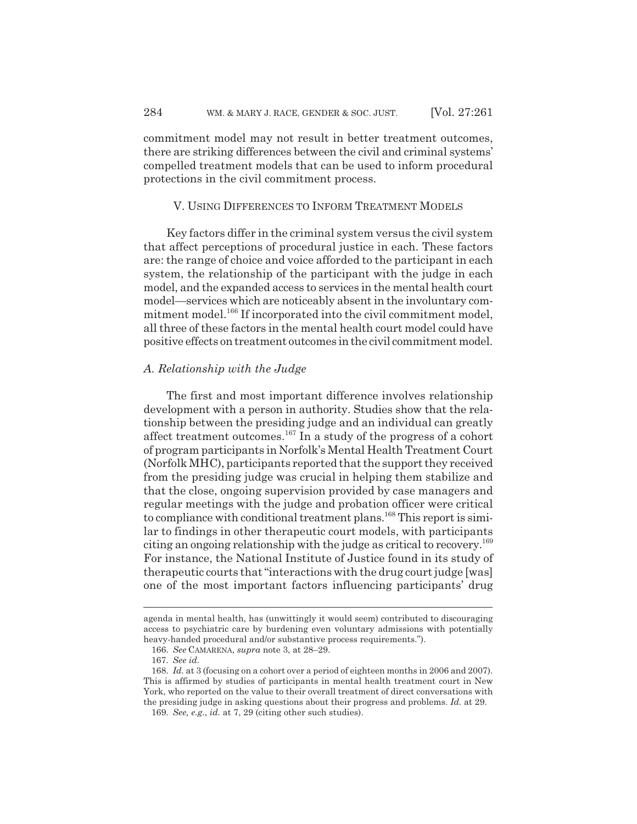commitment model may not result in better treatment outcomes, there are striking differences between the civil and criminal systems' compelled treatment models that can be used to inform procedural protections in the civil commitment process.

#### V. USING DIFFERENCES TO INFORM TREATMENT MODELS

Key factors differ in the criminal system versus the civil system that affect perceptions of procedural justice in each. These factors are: the range of choice and voice afforded to the participant in each system, the relationship of the participant with the judge in each model, and the expanded access to services in the mental health court model—services which are noticeably absent in the involuntary commitment model.<sup>166</sup> If incorporated into the civil commitment model, all three of these factors in the mental health court model could have positive effects on treatment outcomes in the civil commitment model.

### *A. Relationship with the Judge*

The first and most important difference involves relationship development with a person in authority. Studies show that the relationship between the presiding judge and an individual can greatly affect treatment outcomes.<sup>167</sup> In a study of the progress of a cohort of program participants in Norfolk's Mental Health Treatment Court (Norfolk MHC), participants reported that the support they received from the presiding judge was crucial in helping them stabilize and that the close, ongoing supervision provided by case managers and regular meetings with the judge and probation officer were critical to compliance with conditional treatment plans.<sup>168</sup> This report is similar to findings in other therapeutic court models, with participants citing an ongoing relationship with the judge as critical to recovery.169 For instance, the National Institute of Justice found in its study of therapeutic courts that "interactions with the drug court judge [was] one of the most important factors influencing participants' drug

agenda in mental health, has (unwittingly it would seem) contributed to discouraging access to psychiatric care by burdening even voluntary admissions with potentially heavy-handed procedural and/or substantive process requirements.").

<sup>166.</sup> *See* CAMARENA, *supra* note 3, at 28–29.

<sup>167.</sup> *See id.*

<sup>168.</sup> *Id.* at 3 (focusing on a cohort over a period of eighteen months in 2006 and 2007). This is affirmed by studies of participants in mental health treatment court in New York, who reported on the value to their overall treatment of direct conversations with the presiding judge in asking questions about their progress and problems. *Id.* at 29.

<sup>169.</sup> *See, e.g.*, *id.* at 7, 29 (citing other such studies).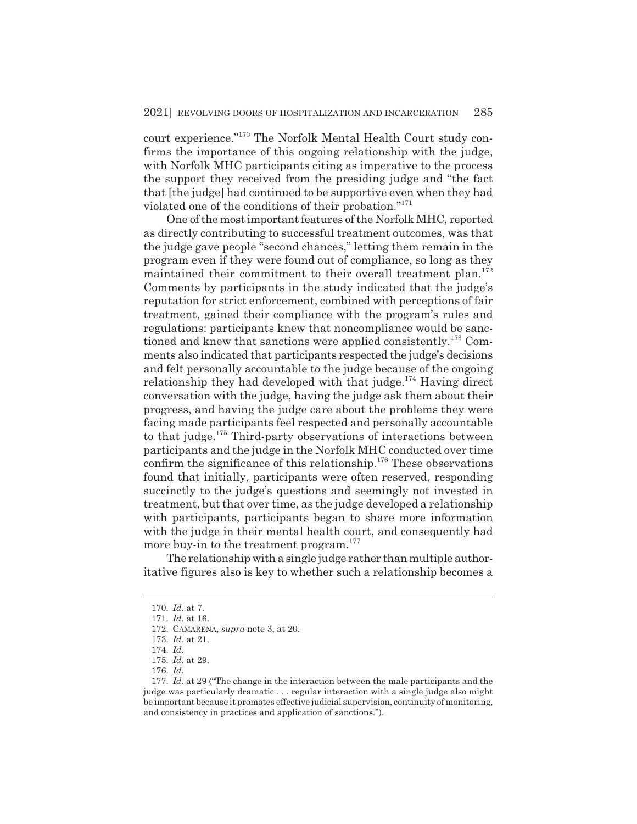court experience."170 The Norfolk Mental Health Court study confirms the importance of this ongoing relationship with the judge, with Norfolk MHC participants citing as imperative to the process the support they received from the presiding judge and "the fact that [the judge] had continued to be supportive even when they had violated one of the conditions of their probation."171

One of the most important features of the Norfolk MHC, reported as directly contributing to successful treatment outcomes, was that the judge gave people "second chances," letting them remain in the program even if they were found out of compliance, so long as they maintained their commitment to their overall treatment plan.<sup>172</sup> Comments by participants in the study indicated that the judge's reputation for strict enforcement, combined with perceptions of fair treatment, gained their compliance with the program's rules and regulations: participants knew that noncompliance would be sanctioned and knew that sanctions were applied consistently.173 Comments also indicated that participants respected the judge's decisions and felt personally accountable to the judge because of the ongoing relationship they had developed with that judge.<sup>174</sup> Having direct conversation with the judge, having the judge ask them about their progress, and having the judge care about the problems they were facing made participants feel respected and personally accountable to that judge.<sup>175</sup> Third-party observations of interactions between participants and the judge in the Norfolk MHC conducted over time confirm the significance of this relationship.<sup>176</sup> These observations found that initially, participants were often reserved, responding succinctly to the judge's questions and seemingly not invested in treatment, but that over time, as the judge developed a relationship with participants, participants began to share more information with the judge in their mental health court, and consequently had more buy-in to the treatment program.<sup>177</sup>

The relationship with a single judge rather than multiple authoritative figures also is key to whether such a relationship becomes a

<sup>170.</sup> *Id.* at 7.

<sup>171.</sup> *Id.* at 16.

<sup>172.</sup> CAMARENA, *supra* note 3, at 20.

<sup>173.</sup> *Id.* at 21.

<sup>174.</sup> *Id.*

<sup>175.</sup> *Id.* at 29.

<sup>176.</sup> *Id.*

<sup>177.</sup> *Id.* at 29 ("The change in the interaction between the male participants and the judge was particularly dramatic . . . regular interaction with a single judge also might be important because it promotes effective judicial supervision, continuity of monitoring, and consistency in practices and application of sanctions.").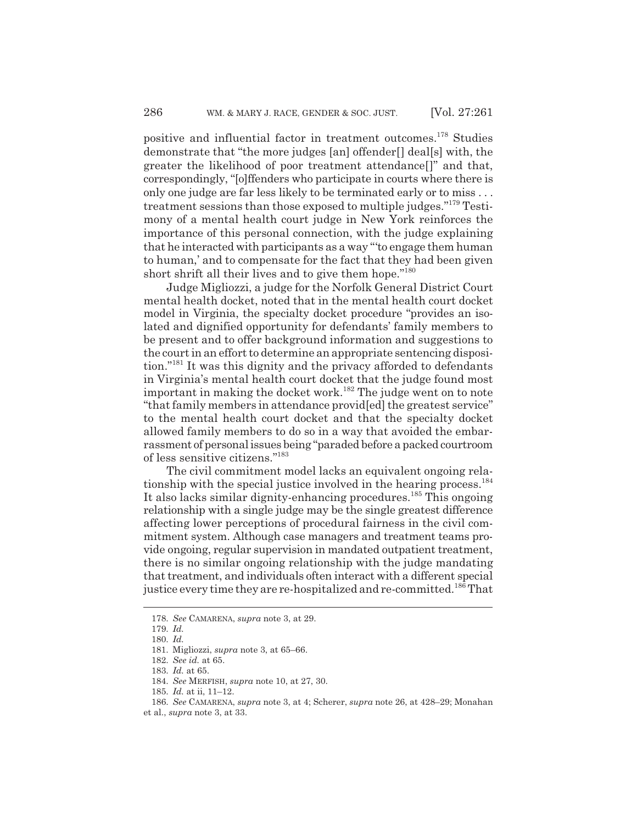positive and influential factor in treatment outcomes.178 Studies demonstrate that "the more judges [an] offender[] deal[s] with, the greater the likelihood of poor treatment attendance[]" and that, correspondingly, "[o]ffenders who participate in courts where there is only one judge are far less likely to be terminated early or to miss . . . treatment sessions than those exposed to multiple judges."179 Testimony of a mental health court judge in New York reinforces the importance of this personal connection, with the judge explaining that he interacted with participants as a way "'to engage them human to human,' and to compensate for the fact that they had been given short shrift all their lives and to give them hope."<sup>180</sup>

Judge Migliozzi, a judge for the Norfolk General District Court mental health docket, noted that in the mental health court docket model in Virginia, the specialty docket procedure "provides an isolated and dignified opportunity for defendants' family members to be present and to offer background information and suggestions to the court in an effort to determine an appropriate sentencing disposition."181 It was this dignity and the privacy afforded to defendants in Virginia's mental health court docket that the judge found most important in making the docket work.<sup>182</sup> The judge went on to note "that family members in attendance provid[ed] the greatest service" to the mental health court docket and that the specialty docket allowed family members to do so in a way that avoided the embarrassment of personal issues being "paraded before a packed courtroom of less sensitive citizens."183

The civil commitment model lacks an equivalent ongoing relationship with the special justice involved in the hearing process. $^{184}$ It also lacks similar dignity-enhancing procedures.<sup>185</sup> This ongoing relationship with a single judge may be the single greatest difference affecting lower perceptions of procedural fairness in the civil commitment system. Although case managers and treatment teams provide ongoing, regular supervision in mandated outpatient treatment, there is no similar ongoing relationship with the judge mandating that treatment, and individuals often interact with a different special justice every time they are re-hospitalized and re-committed.<sup>186</sup> That

<sup>178.</sup> *See* CAMARENA, *supra* note 3, at 29.

<sup>179.</sup> *Id.*

<sup>180.</sup> *Id.*

<sup>181.</sup> Migliozzi, *supra* note 3, at 65–66.

<sup>182.</sup> *See id.* at 65.

<sup>183.</sup> *Id.* at 65.

<sup>184.</sup> *See* MERFISH, *supra* note 10, at 27, 30.

<sup>185.</sup> *Id.* at ii, 11–12.

<sup>186.</sup> *See* CAMARENA, *supra* note 3, at 4; Scherer, *supra* note 26, at 428–29; Monahan

et al., *supra* note 3, at 33.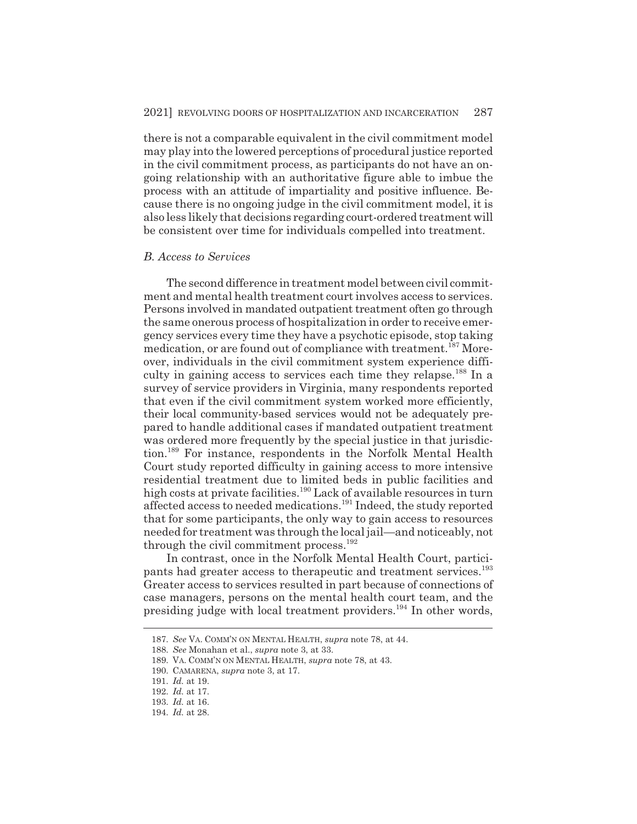there is not a comparable equivalent in the civil commitment model may play into the lowered perceptions of procedural justice reported in the civil commitment process, as participants do not have an ongoing relationship with an authoritative figure able to imbue the process with an attitude of impartiality and positive influence. Because there is no ongoing judge in the civil commitment model, it is also less likely that decisions regarding court-ordered treatment will be consistent over time for individuals compelled into treatment.

### *B. Access to Services*

The second difference in treatment model between civil commitment and mental health treatment court involves access to services. Persons involved in mandated outpatient treatment often go through the same onerous process of hospitalization in order to receive emergency services every time they have a psychotic episode, stop taking medication, or are found out of compliance with treatment.<sup>187</sup> Moreover, individuals in the civil commitment system experience difficulty in gaining access to services each time they relapse.<sup>188</sup> In a survey of service providers in Virginia, many respondents reported that even if the civil commitment system worked more efficiently, their local community-based services would not be adequately prepared to handle additional cases if mandated outpatient treatment was ordered more frequently by the special justice in that jurisdiction.189 For instance, respondents in the Norfolk Mental Health Court study reported difficulty in gaining access to more intensive residential treatment due to limited beds in public facilities and high costs at private facilities.190 Lack of available resources in turn affected access to needed medications.191 Indeed, the study reported that for some participants, the only way to gain access to resources needed for treatment was through the local jail—and noticeably, not through the civil commitment process.<sup>192</sup>

In contrast, once in the Norfolk Mental Health Court, participants had greater access to therapeutic and treatment services.<sup>193</sup> Greater access to services resulted in part because of connections of case managers, persons on the mental health court team, and the presiding judge with local treatment providers.194 In other words,

<sup>187.</sup> *See* VA. COMM'N ON MENTAL HEALTH, *supra* note 78, at 44.

<sup>188.</sup> *See* Monahan et al., *supra* note 3, at 33.

<sup>189.</sup> VA. COMM'N ON MENTAL HEALTH, *supra* note 78, at 43.

<sup>190.</sup> CAMARENA, *supra* note 3, at 17.

<sup>191.</sup> *Id.* at 19.

<sup>192.</sup> *Id.* at 17.

<sup>193.</sup> *Id.* at 16.

<sup>194.</sup> *Id.* at 28.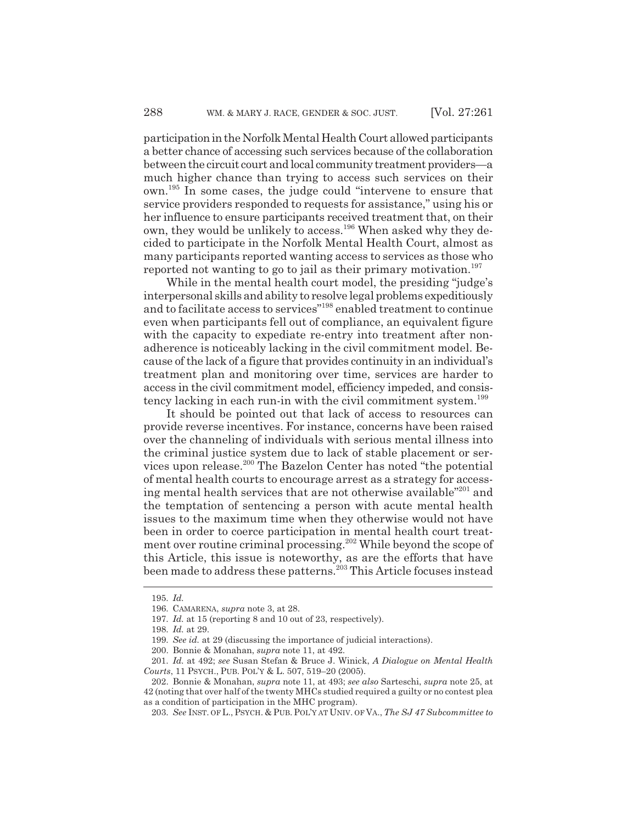participation in the Norfolk Mental Health Court allowed participants a better chance of accessing such services because of the collaboration between the circuit court and local community treatment providers—a much higher chance than trying to access such services on their own.195 In some cases, the judge could "intervene to ensure that service providers responded to requests for assistance," using his or her influence to ensure participants received treatment that, on their own, they would be unlikely to access.<sup>196</sup> When asked why they decided to participate in the Norfolk Mental Health Court, almost as many participants reported wanting access to services as those who reported not wanting to go to jail as their primary motivation.<sup>197</sup>

While in the mental health court model, the presiding "judge's interpersonal skills and ability to resolve legal problems expeditiously and to facilitate access to services"198 enabled treatment to continue even when participants fell out of compliance, an equivalent figure with the capacity to expediate re-entry into treatment after nonadherence is noticeably lacking in the civil commitment model. Because of the lack of a figure that provides continuity in an individual's treatment plan and monitoring over time, services are harder to access in the civil commitment model, efficiency impeded, and consistency lacking in each run-in with the civil commitment system.<sup>199</sup>

It should be pointed out that lack of access to resources can provide reverse incentives. For instance, concerns have been raised over the channeling of individuals with serious mental illness into the criminal justice system due to lack of stable placement or services upon release.200 The Bazelon Center has noted "the potential of mental health courts to encourage arrest as a strategy for accessing mental health services that are not otherwise available"<sup>201</sup> and the temptation of sentencing a person with acute mental health issues to the maximum time when they otherwise would not have been in order to coerce participation in mental health court treatment over routine criminal processing.<sup>202</sup> While beyond the scope of this Article, this issue is noteworthy, as are the efforts that have been made to address these patterns.<sup>203</sup> This Article focuses instead

203. *See* INST. OF L., PSYCH.&PUB. POL'Y AT UNIV. OF VA., *The SJ 47 Subcommittee to*

<sup>195.</sup> *Id.*

<sup>196.</sup> CAMARENA, *supra* note 3, at 28.

<sup>197.</sup> *Id.* at 15 (reporting 8 and 10 out of 23, respectively).

<sup>198.</sup> *Id.* at 29.

<sup>199.</sup> *See id.* at 29 (discussing the importance of judicial interactions).

<sup>200.</sup> Bonnie & Monahan, *supra* note 11, at 492.

<sup>201.</sup> *Id.* at 492; *see* Susan Stefan & Bruce J. Winick, *A Dialogue on Mental Health Courts*, 11 PSYCH., PUB. POL'Y & L. 507, 519–20 (2005).

<sup>202.</sup> Bonnie & Monahan, *supra* note 11, at 493; *see also* Sarteschi, *supra* note 25, at 42 (noting that over half of the twenty MHCs studied required a guilty or no contest plea as a condition of participation in the MHC program).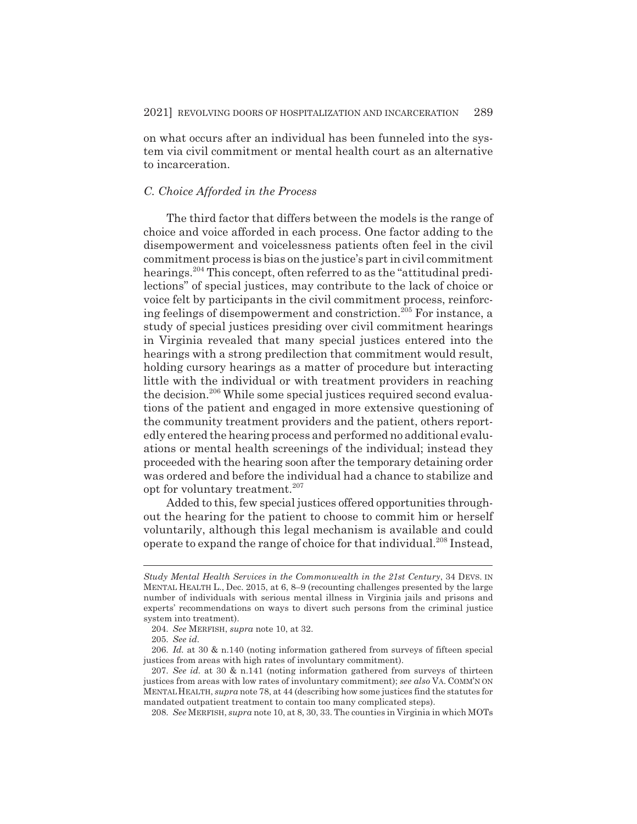on what occurs after an individual has been funneled into the system via civil commitment or mental health court as an alternative to incarceration.

## *C. Choice Afforded in the Process*

The third factor that differs between the models is the range of choice and voice afforded in each process. One factor adding to the disempowerment and voicelessness patients often feel in the civil commitment process is bias on the justice's part in civil commitment hearings.204 This concept, often referred to as the "attitudinal predilections" of special justices, may contribute to the lack of choice or voice felt by participants in the civil commitment process, reinforcing feelings of disempowerment and constriction.<sup>205</sup> For instance, a study of special justices presiding over civil commitment hearings in Virginia revealed that many special justices entered into the hearings with a strong predilection that commitment would result, holding cursory hearings as a matter of procedure but interacting little with the individual or with treatment providers in reaching the decision.<sup>206</sup> While some special justices required second evaluations of the patient and engaged in more extensive questioning of the community treatment providers and the patient, others reportedly entered the hearing process and performed no additional evaluations or mental health screenings of the individual; instead they proceeded with the hearing soon after the temporary detaining order was ordered and before the individual had a chance to stabilize and opt for voluntary treatment.<sup>207</sup>

Added to this, few special justices offered opportunities throughout the hearing for the patient to choose to commit him or herself voluntarily, although this legal mechanism is available and could operate to expand the range of choice for that individual.<sup>208</sup> Instead.

208. *See* MERFISH, *supra* note 10, at 8, 30, 33. The counties in Virginia in which MOTs

*Study Mental Health Services in the Commonwealth in the 21st Century*, 34 DEVS. IN MENTAL HEALTH L., Dec. 2015, at 6, 8–9 (recounting challenges presented by the large number of individuals with serious mental illness in Virginia jails and prisons and experts' recommendations on ways to divert such persons from the criminal justice system into treatment).

<sup>204.</sup> *See* MERFISH, *supra* note 10, at 32.

<sup>205.</sup> *See id.*

<sup>206.</sup> *Id.* at 30 & n.140 (noting information gathered from surveys of fifteen special justices from areas with high rates of involuntary commitment).

<sup>207.</sup> *See id.* at 30 & n.141 (noting information gathered from surveys of thirteen justices from areas with low rates of involuntary commitment); *see also* VA. COMM'N ON MENTALHEALTH, *supra* note 78, at 44 (describing how some justices find the statutes for mandated outpatient treatment to contain too many complicated steps).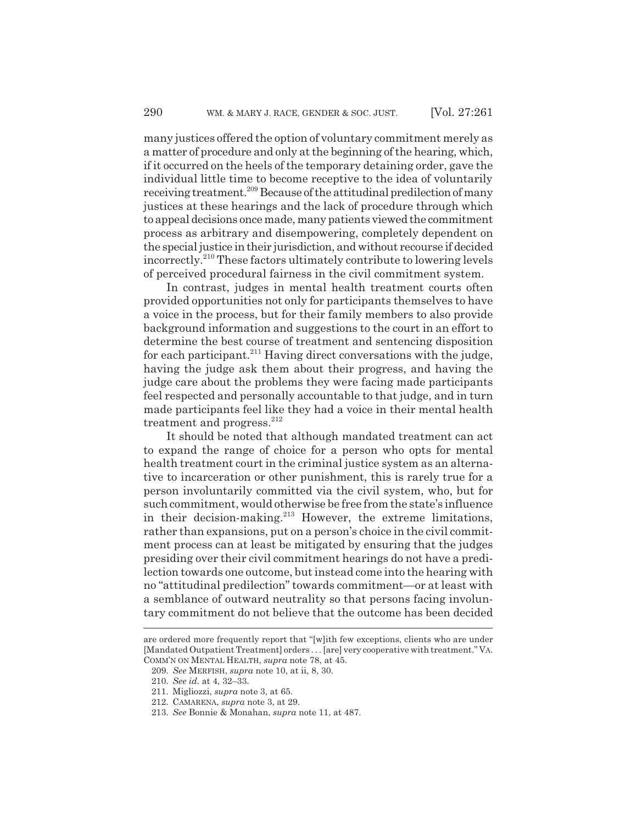many justices offered the option of voluntary commitment merely as a matter of procedure and only at the beginning of the hearing, which, if it occurred on the heels of the temporary detaining order, gave the individual little time to become receptive to the idea of voluntarily receiving treatment.209 Because of the attitudinal predilection of many justices at these hearings and the lack of procedure through which to appeal decisions once made, many patients viewed the commitment process as arbitrary and disempowering, completely dependent on the special justice in their jurisdiction, and without recourse if decided incorrectly.210 These factors ultimately contribute to lowering levels of perceived procedural fairness in the civil commitment system.

In contrast, judges in mental health treatment courts often provided opportunities not only for participants themselves to have a voice in the process, but for their family members to also provide background information and suggestions to the court in an effort to determine the best course of treatment and sentencing disposition for each participant. $2^{11}$  Having direct conversations with the judge, having the judge ask them about their progress, and having the judge care about the problems they were facing made participants feel respected and personally accountable to that judge, and in turn made participants feel like they had a voice in their mental health treatment and progress. $^{212}$ 

It should be noted that although mandated treatment can act to expand the range of choice for a person who opts for mental health treatment court in the criminal justice system as an alternative to incarceration or other punishment, this is rarely true for a person involuntarily committed via the civil system, who, but for such commitment, would otherwise be free from the state's influence in their decision-making.<sup>213</sup> However, the extreme limitations, rather than expansions, put on a person's choice in the civil commitment process can at least be mitigated by ensuring that the judges presiding over their civil commitment hearings do not have a predilection towards one outcome, but instead come into the hearing with no "attitudinal predilection" towards commitment—or at least with a semblance of outward neutrality so that persons facing involuntary commitment do not believe that the outcome has been decided

are ordered more frequently report that "[w]ith few exceptions, clients who are under [Mandated Outpatient Treatment] orders . . . [are] very cooperative with treatment." VA. COMM'N ON MENTAL HEALTH, *supra* note 78, at 45.

<sup>209.</sup> *See* MERFISH, *supra* note 10, at ii, 8, 30.

<sup>210.</sup> *See id.* at 4, 32–33.

<sup>211.</sup> Migliozzi, *supra* note 3, at 65.

<sup>212.</sup> CAMARENA, *supra* note 3, at 29.

<sup>213.</sup> *See* Bonnie & Monahan, *supra* note 11, at 487.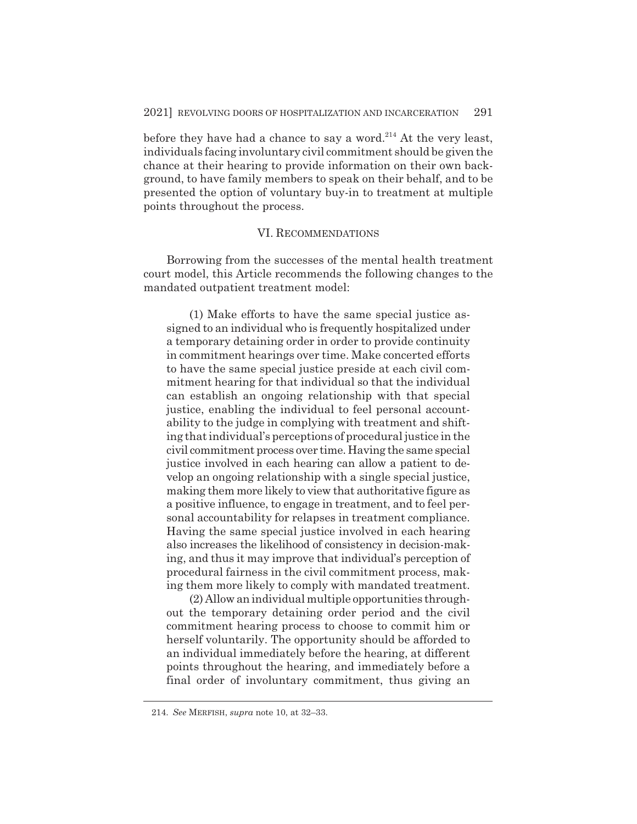before they have had a chance to say a word.<sup>214</sup> At the very least, individuals facing involuntary civil commitment should be given the chance at their hearing to provide information on their own background, to have family members to speak on their behalf, and to be presented the option of voluntary buy-in to treatment at multiple points throughout the process.

#### VI. RECOMMENDATIONS

Borrowing from the successes of the mental health treatment court model, this Article recommends the following changes to the mandated outpatient treatment model:

(1) Make efforts to have the same special justice assigned to an individual who is frequently hospitalized under a temporary detaining order in order to provide continuity in commitment hearings over time. Make concerted efforts to have the same special justice preside at each civil commitment hearing for that individual so that the individual can establish an ongoing relationship with that special justice, enabling the individual to feel personal accountability to the judge in complying with treatment and shifting that individual's perceptions of procedural justice in the civil commitment process over time. Having the same special justice involved in each hearing can allow a patient to develop an ongoing relationship with a single special justice, making them more likely to view that authoritative figure as a positive influence, to engage in treatment, and to feel personal accountability for relapses in treatment compliance. Having the same special justice involved in each hearing also increases the likelihood of consistency in decision-making, and thus it may improve that individual's perception of procedural fairness in the civil commitment process, making them more likely to comply with mandated treatment.

(2) Allow an individual multiple opportunities throughout the temporary detaining order period and the civil commitment hearing process to choose to commit him or herself voluntarily. The opportunity should be afforded to an individual immediately before the hearing, at different points throughout the hearing, and immediately before a final order of involuntary commitment, thus giving an

<sup>214.</sup> *See* MERFISH, *supra* note 10, at 32–33.